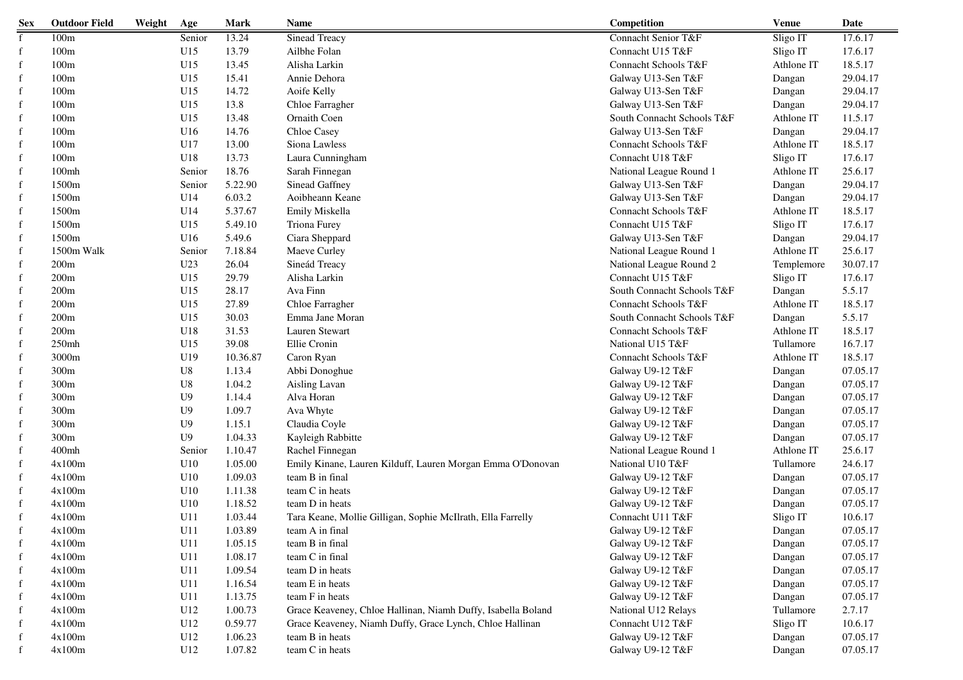| <b>Sex</b>   | <b>Outdoor Field</b> | Weight | Age             | <b>Mark</b> | <b>Name</b>                                                  | Competition                | <b>Venue</b> | Date     |
|--------------|----------------------|--------|-----------------|-------------|--------------------------------------------------------------|----------------------------|--------------|----------|
| $\mathbf{f}$ | 100m                 |        | Senior          | 13.24       | Sinead Treacy                                                | Connacht Senior T&F        | Sligo IT     | 17.6.17  |
| $\mathbf f$  | 100m                 |        | U15             | 13.79       | Ailbhe Folan                                                 | Connacht U15 T&F           | Sligo IT     | 17.6.17  |
| f            | 100m                 |        | U15             | 13.45       | Alisha Larkin                                                | Connacht Schools T&F       | Athlone IT   | 18.5.17  |
| f            | 100m                 |        | U15             | 15.41       | Annie Dehora                                                 | Galway U13-Sen T&F         | Dangan       | 29.04.17 |
| f            | 100m                 |        | U15             | 14.72       | Aoife Kelly                                                  | Galway U13-Sen T&F         | Dangan       | 29.04.17 |
| f            | 100m                 |        | U15             | 13.8        | Chloe Farragher                                              | Galway U13-Sen T&F         | Dangan       | 29.04.17 |
| f            | 100m                 |        | U15             | 13.48       | Ornaith Coen                                                 | South Connacht Schools T&F | Athlone IT   | 11.5.17  |
| f            | 100m                 |        | U16             | 14.76       | Chloe Casey                                                  | Galway U13-Sen T&F         | Dangan       | 29.04.17 |
| f            | 100m                 |        | U17             | 13.00       | Siona Lawless                                                | Connacht Schools T&F       | Athlone IT   | 18.5.17  |
| f            | 100m                 |        | U18             | 13.73       | Laura Cunningham                                             | Connacht U18 T&F           | Sligo IT     | 17.6.17  |
| f            | $100m$ h             |        | Senior          | 18.76       | Sarah Finnegan                                               | National League Round 1    | Athlone IT   | 25.6.17  |
| f            | 1500m                |        | Senior          | 5.22.90     | Sinead Gaffney                                               | Galway U13-Sen T&F         | Dangan       | 29.04.17 |
| f            | 1500m                |        | U14             | 6.03.2      | Aoibheann Keane                                              | Galway U13-Sen T&F         | Dangan       | 29.04.17 |
| f            | 1500m                |        | U14             | 5.37.67     | Emily Miskella                                               | Connacht Schools T&F       | Athlone IT   | 18.5.17  |
| f            | 1500m                |        | U15             | 5.49.10     | Triona Furey                                                 | Connacht U15 T&F           | Sligo IT     | 17.6.17  |
| f            | 1500m                |        | U16             | 5.49.6      | Ciara Sheppard                                               | Galway U13-Sen T&F         | Dangan       | 29.04.17 |
| f            | 1500m Walk           |        | Senior          | 7.18.84     | Maeve Curley                                                 | National League Round 1    | Athlone IT   | 25.6.17  |
| f            | 200m                 |        | U <sub>23</sub> | 26.04       | Sineád Treacy                                                | National League Round 2    | Templemore   | 30.07.17 |
| f            | 200m                 |        | U15             | 29.79       | Alisha Larkin                                                | Connacht U15 T&F           | Sligo IT     | 17.6.17  |
| f            | 200m                 |        | U15             | 28.17       | Ava Finn                                                     | South Connacht Schools T&F | Dangan       | 5.5.17   |
| f            | 200m                 |        | U15             | 27.89       | Chloe Farragher                                              | Connacht Schools T&F       | Athlone IT   | 18.5.17  |
| f            | 200m                 |        | U15             | 30.03       | Emma Jane Moran                                              | South Connacht Schools T&F | Dangan       | 5.5.17   |
| f            | 200m                 |        | U18             | 31.53       | Lauren Stewart                                               | Connacht Schools T&F       | Athlone IT   | 18.5.17  |
| f            | 250mh                |        | U15             | 39.08       | Ellie Cronin                                                 | National U15 T&F           | Tullamore    | 16.7.17  |
| f            | 3000m                |        | U19             | 10.36.87    | Caron Ryan                                                   | Connacht Schools T&F       | Athlone IT   | 18.5.17  |
| f            | 300m                 |        | U8              | 1.13.4      | Abbi Donoghue                                                | Galway U9-12 T&F           | Dangan       | 07.05.17 |
| f            | 300m                 |        | U8              | 1.04.2      | Aisling Lavan                                                | Galway U9-12 T&F           | Dangan       | 07.05.17 |
|              | 300m                 |        | U <sub>9</sub>  | 1.14.4      | Alva Horan                                                   | Galway U9-12 T&F           | Dangan       | 07.05.17 |
|              | 300m                 |        | U <sub>9</sub>  | 1.09.7      | Ava Whyte                                                    | Galway U9-12 T&F           | Dangan       | 07.05.17 |
| f            | 300m                 |        | U <sub>9</sub>  | 1.15.1      | Claudia Coyle                                                | Galway U9-12 T&F           | Dangan       | 07.05.17 |
| f            | 300m                 |        | U <sub>9</sub>  | 1.04.33     | Kayleigh Rabbitte                                            | Galway U9-12 T&F           | Dangan       | 07.05.17 |
| f            | 400mh                |        | Senior          | 1.10.47     | Rachel Finnegan                                              | National League Round 1    | Athlone IT   | 25.6.17  |
| f            | 4x100m               |        | U10             | 1.05.00     | Emily Kinane, Lauren Kilduff, Lauren Morgan Emma O'Donovan   | National U10 T&F           | Tullamore    | 24.6.17  |
| f            | 4x100m               |        | U10             | 1.09.03     | team B in final                                              | Galway U9-12 T&F           | Dangan       | 07.05.17 |
| f            | 4x100m               |        | U10             | 1.11.38     | team C in heats                                              | Galway U9-12 T&F           | Dangan       | 07.05.17 |
| $\mathbf f$  | 4x100m               |        | U10             | 1.18.52     | team D in heats                                              | Galway U9-12 T&F           | Dangan       | 07.05.17 |
| f            | 4x100m               |        | U11             | 1.03.44     | Tara Keane, Mollie Gilligan, Sophie McIlrath, Ella Farrelly  | Connacht U11 T&F           | Sligo IT     | 10.6.17  |
| $\mathbf f$  | 4x100m               |        | U11             | 1.03.89     | team A in final                                              | Galway U9-12 T&F           | Dangan       | 07.05.17 |
| f            | 4x100m               |        | U11             | 1.05.15     | team B in final                                              | Galway U9-12 T&F           | Dangan       | 07.05.17 |
| $\mathbf f$  | 4x100m               |        | U11             | 1.08.17     | team C in final                                              | Galway U9-12 T&F           | Dangan       | 07.05.17 |
| f            | 4x100m               |        | U11             | 1.09.54     | team D in heats                                              | Galway U9-12 T&F           | Dangan       | 07.05.17 |
| f            | 4x100m               |        | U11             | 1.16.54     | team E in heats                                              | Galway U9-12 T&F           | Dangan       | 07.05.17 |
|              | 4x100m               |        | U11             | 1.13.75     | team F in heats                                              | Galway U9-12 T&F           | Dangan       | 07.05.17 |
|              | 4x100m               |        | U12             | 1.00.73     | Grace Keaveney, Chloe Hallinan, Niamh Duffy, Isabella Boland | National U12 Relays        | Tullamore    | 2.7.17   |
|              | 4x100m               |        | U12             | 0.59.77     | Grace Keaveney, Niamh Duffy, Grace Lynch, Chloe Hallinan     | Connacht U12 T&F           | Sligo IT     | 10.6.17  |
|              | 4x100m               |        | U12             | 1.06.23     | team B in heats                                              | Galway U9-12 T&F           | Dangan       | 07.05.17 |
|              | 4x100m               |        | U12             | 1.07.82     | team C in heats                                              | Galway U9-12 T&F           | Dangan       | 07.05.17 |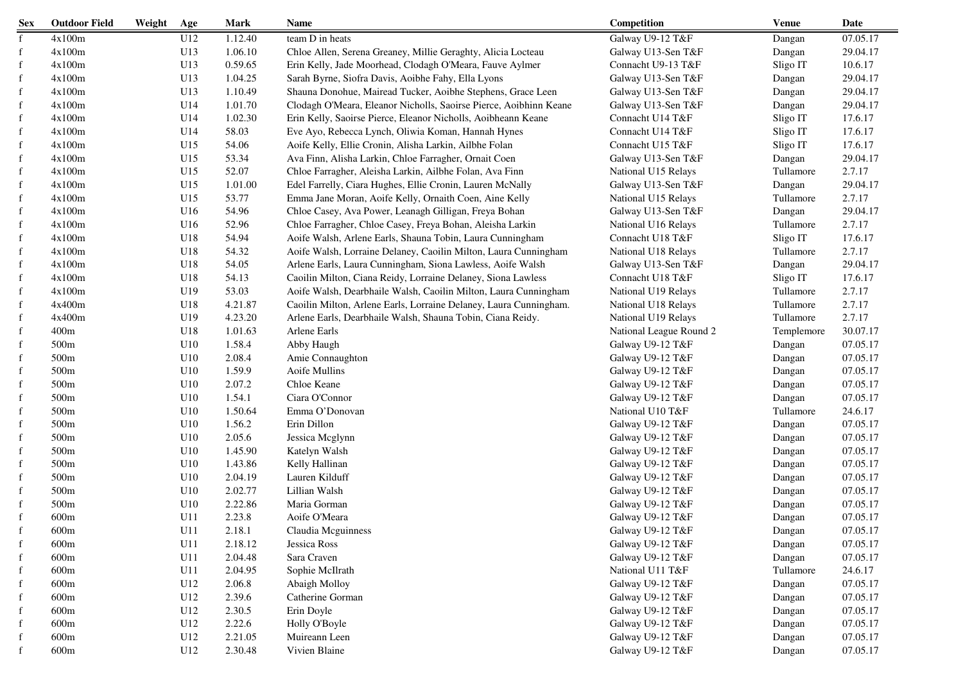| Galway U9-12 T&F<br>07.05.17<br>4x100m<br>U12<br>1.12.40<br>team D in heats<br>$\mathbf{f}$<br>Dangan<br>$\mathbf{f}$<br>4x100m<br>U13<br>1.06.10<br>Chloe Allen, Serena Greaney, Millie Geraghty, Alicia Locteau<br>Galway U13-Sen T&F<br>29.04.17<br>Dangan<br>f<br>4x100m<br>U13<br>0.59.65<br>Erin Kelly, Jade Moorhead, Clodagh O'Meara, Fauve Aylmer<br>Connacht U9-13 T&F<br>Sligo IT<br>10.6.17<br>f<br>4x100m<br>U13<br>1.04.25<br>Sarah Byrne, Siofra Davis, Aoibhe Fahy, Ella Lyons<br>Galway U13-Sen T&F<br>29.04.17<br>Dangan<br>4x100m<br>U13<br>1.10.49<br>Shauna Donohue, Mairead Tucker, Aoibhe Stephens, Grace Leen<br>Galway U13-Sen T&F<br>29.04.17<br>f<br>Dangan<br>4x100m<br>U14<br>1.01.70<br>Clodagh O'Meara, Eleanor Nicholls, Saoirse Pierce, Aoibhinn Keane<br>Galway U13-Sen T&F<br>29.04.17<br>f<br>Dangan<br>4x100m<br>U14<br>1.02.30<br>Erin Kelly, Saoirse Pierce, Eleanor Nicholls, Aoibheann Keane<br>17.6.17<br>f<br>Connacht U14 T&F<br>Sligo IT<br>4x100m<br>U14<br>58.03<br>Sligo IT<br>17.6.17<br>f<br>Eve Ayo, Rebecca Lynch, Oliwia Koman, Hannah Hynes<br>Connacht U14 T&F<br>4x100m<br>U15<br>54.06<br>Aoife Kelly, Ellie Cronin, Alisha Larkin, Ailbhe Folan<br>Sligo IT<br>17.6.17<br>Connacht U15 T&F<br>f<br>4x100m<br>U15<br>53.34<br>Ava Finn, Alisha Larkin, Chloe Farragher, Ornait Coen<br>29.04.17<br>Galway U13-Sen T&F<br>Dangan<br>f<br>2.7.17<br>4x100m<br>U15<br>52.07<br>Chloe Farragher, Aleisha Larkin, Ailbhe Folan, Ava Finn<br>Tullamore<br>f<br>National U15 Relays<br>29.04.17<br>4x100m<br>U15<br>1.01.00<br>Edel Farrelly, Ciara Hughes, Ellie Cronin, Lauren McNally<br>f<br>Galway U13-Sen T&F<br>Dangan<br>2.7.17<br>f<br>4x100m<br>U15<br>53.77<br>Emma Jane Moran, Aoife Kelly, Ornaith Coen, Aine Kelly<br>Tullamore<br>National U15 Relays<br>f<br>4x100m<br>U16<br>54.96<br>Chloe Casey, Ava Power, Leanagh Gilligan, Freya Bohan<br>29.04.17<br>Galway U13-Sen T&F<br>Dangan<br>2.7.17<br>f<br>4x100m<br>U16<br>52.96<br>Chloe Farragher, Chloe Casey, Freya Bohan, Aleisha Larkin<br>Tullamore<br>National U16 Relays<br>4x100m<br>U18<br>Aoife Walsh, Arlene Earls, Shauna Tobin, Laura Cunningham<br>17.6.17<br>f<br>54.94<br>Connacht U18 T&F<br>Sligo IT<br>2.7.17<br>f<br>4x100m<br>U18<br>54.32<br>Aoife Walsh, Lorraine Delaney, Caoilin Milton, Laura Cunningham<br>Tullamore<br>National U18 Relays<br>f<br>4x100m<br>U18<br>54.05<br>Arlene Earls, Laura Cunningham, Siona Lawless, Aoife Walsh<br>29.04.17<br>Galway U13-Sen T&F<br>Dangan<br>4x100m<br>U18<br>54.13<br>Caoilin Milton, Ciana Reidy, Lorraine Delaney, Siona Lawless<br>Connacht U18 T&F<br>17.6.17<br>f<br>Sligo IT<br>2.7.17<br>4x100m<br>U19<br>53.03<br>Aoife Walsh, Dearbhaile Walsh, Caoilin Milton, Laura Cunningham<br>Tullamore<br>f<br>National U19 Relays<br>2.7.17<br>4x400m<br>U18<br>4.21.87<br>Caoilin Milton, Arlene Earls, Lorraine Delaney, Laura Cunningham.<br>Tullamore<br>f<br>National U18 Relays<br>2.7.17<br>4x400m<br>U19<br>4.23.20<br>Tullamore<br>f<br>Arlene Earls, Dearbhaile Walsh, Shauna Tobin, Ciana Reidy.<br>National U19 Relays<br>400m<br>U18<br>1.01.63<br>30.07.17<br>f<br>Arlene Earls<br>National League Round 2<br>Templemore<br>500m<br>U10<br>1.58.4<br>07.05.17<br>f<br>Abby Haugh<br>Galway U9-12 T&F<br>Dangan<br>500m<br>U10<br>07.05.17<br>f<br>2.08.4<br>Amie Connaughton<br>Galway U9-12 T&F<br>Dangan<br>500 <sub>m</sub><br>U10<br>1.59.9<br>Aoife Mullins<br>07.05.17<br>f<br>Galway U9-12 T&F<br>Dangan<br>07.05.17<br>500 <sub>m</sub><br>U10<br>2.07.2<br>Chloe Keane<br>Galway U9-12 T&F<br>f<br>Dangan<br>Ciara O'Connor<br>07.05.17<br>500 <sub>m</sub><br>U10<br>1.54.1<br>Galway U9-12 T&F<br>f<br>Dangan<br>Emma O'Donovan<br>500m<br>U10<br>1.50.64<br>National U10 T&F<br>Tullamore<br>24.6.17<br>f<br>f<br>500 <sub>m</sub><br>U10<br>1.56.2<br>Erin Dillon<br>Galway U9-12 T&F<br>07.05.17<br>Dangan<br>500 <sub>m</sub><br>U10<br>2.05.6<br>07.05.17<br>f<br>Jessica Mcglynn<br>Galway U9-12 T&F<br>Dangan<br>500 <sub>m</sub><br>1.45.90<br>07.05.17<br>f<br>U10<br>Katelyn Walsh<br>Galway U9-12 T&F<br>Dangan<br>500m<br>U10<br>07.05.17<br>f<br>1.43.86<br>Kelly Hallinan<br>Galway U9-12 T&F<br>Dangan<br>500 <sub>m</sub><br>U10<br>2.04.19<br>07.05.17<br>f<br>Lauren Kilduff<br>Galway U9-12 T&F<br>Dangan<br>500m<br>2.02.77<br>U10<br>Lillian Walsh<br>Galway U9-12 T&F<br>07.05.17<br>f<br>Dangan<br>500m<br>2.22.86<br>Maria Gorman<br>07.05.17<br>U10<br>Galway U9-12 T&F<br>f<br>Dangan<br>600m<br>U11<br>2.23.8<br>Aoife O'Meara<br>Galway U9-12 T&F<br>07.05.17<br>Dangan<br>2.18.1<br>07.05.17<br>600m<br>U11<br>Claudia Mcguinness<br>Galway U9-12 T&F<br>Dangan<br>f<br>$\mathbf f$<br>600m<br>U11<br>2.18.12<br>Jessica Ross<br>Galway U9-12 T&F<br>07.05.17<br>Dangan<br>600m<br>Sara Craven<br>Galway U9-12 T&F<br>07.05.17<br>f<br>U11<br>2.04.48<br>Dangan<br>600m<br>Sophie McIlrath<br>National U11 T&F<br>24.6.17<br>U11<br>2.04.95<br>Tullamore<br>f<br>Galway U9-12 T&F<br>07.05.17<br>600m<br>U12<br>2.06.8<br>Abaigh Molloy<br>f<br>Dangan<br>2.39.6<br>Catherine Gorman<br>07.05.17<br>600m<br>U12<br>Galway U9-12 T&F<br>f<br>Dangan<br>2.30.5<br>Erin Doyle<br>Galway U9-12 T&F<br>07.05.17<br>600m<br>U12<br>Dangan<br>f<br>Galway U9-12 T&F<br>07.05.17<br>600m<br>U12<br>2.22.6<br>Holly O'Boyle<br>Dangan<br>f<br>600m<br>U12<br>2.21.05<br>Galway U9-12 T&F<br>07.05.17<br>Muireann Leen<br>Dangan | <b>Sex</b> | <b>Outdoor Field</b> | Weight | Age | <b>Mark</b> | <b>Name</b>   | Competition      | <b>Venue</b> | Date     |
|---------------------------------------------------------------------------------------------------------------------------------------------------------------------------------------------------------------------------------------------------------------------------------------------------------------------------------------------------------------------------------------------------------------------------------------------------------------------------------------------------------------------------------------------------------------------------------------------------------------------------------------------------------------------------------------------------------------------------------------------------------------------------------------------------------------------------------------------------------------------------------------------------------------------------------------------------------------------------------------------------------------------------------------------------------------------------------------------------------------------------------------------------------------------------------------------------------------------------------------------------------------------------------------------------------------------------------------------------------------------------------------------------------------------------------------------------------------------------------------------------------------------------------------------------------------------------------------------------------------------------------------------------------------------------------------------------------------------------------------------------------------------------------------------------------------------------------------------------------------------------------------------------------------------------------------------------------------------------------------------------------------------------------------------------------------------------------------------------------------------------------------------------------------------------------------------------------------------------------------------------------------------------------------------------------------------------------------------------------------------------------------------------------------------------------------------------------------------------------------------------------------------------------------------------------------------------------------------------------------------------------------------------------------------------------------------------------------------------------------------------------------------------------------------------------------------------------------------------------------------------------------------------------------------------------------------------------------------------------------------------------------------------------------------------------------------------------------------------------------------------------------------------------------------------------------------------------------------------------------------------------------------------------------------------------------------------------------------------------------------------------------------------------------------------------------------------------------------------------------------------------------------------------------------------------------------------------------------------------------------------------------------------------------------------------------------------------------------------------------------------------------------------------------------------------------------------------------------------------------------------------------------------------------------------------------------------------------------------------------------------------------------------------------------------------------------------------------------------------------------------------------------------------------------------------------------------------------------------------------------------------------------------------------------------------------------------------------------------------------------------------------------------------------------------------------------------------------------------------------------------------------------------------------------------------------------------------------------------------------------------------------------------------------------------------------------------------------------------------------------------------------------------------------------------------------------------------------------------------------------------------------------------------------------------------------------------------------------------------------------------------------------------------------------------------------------------------------------------------------------------------------------------------------------------------------------------------------------------------------------------------------------------------------------------------------------------------------------------------------------------------------------------------------------------------------------------------------------------|------------|----------------------|--------|-----|-------------|---------------|------------------|--------------|----------|
|                                                                                                                                                                                                                                                                                                                                                                                                                                                                                                                                                                                                                                                                                                                                                                                                                                                                                                                                                                                                                                                                                                                                                                                                                                                                                                                                                                                                                                                                                                                                                                                                                                                                                                                                                                                                                                                                                                                                                                                                                                                                                                                                                                                                                                                                                                                                                                                                                                                                                                                                                                                                                                                                                                                                                                                                                                                                                                                                                                                                                                                                                                                                                                                                                                                                                                                                                                                                                                                                                                                                                                                                                                                                                                                                                                                                                                                                                                                                                                                                                                                                                                                                                                                                                                                                                                                                                                                                                                                                                                                                                                                                                                                                                                                                                                                                                                                                                                                                                                                                                                                                                                                                                                                                                                                                                                                                                                                                                                                                           |            |                      |        |     |             |               |                  |              |          |
|                                                                                                                                                                                                                                                                                                                                                                                                                                                                                                                                                                                                                                                                                                                                                                                                                                                                                                                                                                                                                                                                                                                                                                                                                                                                                                                                                                                                                                                                                                                                                                                                                                                                                                                                                                                                                                                                                                                                                                                                                                                                                                                                                                                                                                                                                                                                                                                                                                                                                                                                                                                                                                                                                                                                                                                                                                                                                                                                                                                                                                                                                                                                                                                                                                                                                                                                                                                                                                                                                                                                                                                                                                                                                                                                                                                                                                                                                                                                                                                                                                                                                                                                                                                                                                                                                                                                                                                                                                                                                                                                                                                                                                                                                                                                                                                                                                                                                                                                                                                                                                                                                                                                                                                                                                                                                                                                                                                                                                                                           |            |                      |        |     |             |               |                  |              |          |
|                                                                                                                                                                                                                                                                                                                                                                                                                                                                                                                                                                                                                                                                                                                                                                                                                                                                                                                                                                                                                                                                                                                                                                                                                                                                                                                                                                                                                                                                                                                                                                                                                                                                                                                                                                                                                                                                                                                                                                                                                                                                                                                                                                                                                                                                                                                                                                                                                                                                                                                                                                                                                                                                                                                                                                                                                                                                                                                                                                                                                                                                                                                                                                                                                                                                                                                                                                                                                                                                                                                                                                                                                                                                                                                                                                                                                                                                                                                                                                                                                                                                                                                                                                                                                                                                                                                                                                                                                                                                                                                                                                                                                                                                                                                                                                                                                                                                                                                                                                                                                                                                                                                                                                                                                                                                                                                                                                                                                                                                           |            |                      |        |     |             |               |                  |              |          |
|                                                                                                                                                                                                                                                                                                                                                                                                                                                                                                                                                                                                                                                                                                                                                                                                                                                                                                                                                                                                                                                                                                                                                                                                                                                                                                                                                                                                                                                                                                                                                                                                                                                                                                                                                                                                                                                                                                                                                                                                                                                                                                                                                                                                                                                                                                                                                                                                                                                                                                                                                                                                                                                                                                                                                                                                                                                                                                                                                                                                                                                                                                                                                                                                                                                                                                                                                                                                                                                                                                                                                                                                                                                                                                                                                                                                                                                                                                                                                                                                                                                                                                                                                                                                                                                                                                                                                                                                                                                                                                                                                                                                                                                                                                                                                                                                                                                                                                                                                                                                                                                                                                                                                                                                                                                                                                                                                                                                                                                                           |            |                      |        |     |             |               |                  |              |          |
|                                                                                                                                                                                                                                                                                                                                                                                                                                                                                                                                                                                                                                                                                                                                                                                                                                                                                                                                                                                                                                                                                                                                                                                                                                                                                                                                                                                                                                                                                                                                                                                                                                                                                                                                                                                                                                                                                                                                                                                                                                                                                                                                                                                                                                                                                                                                                                                                                                                                                                                                                                                                                                                                                                                                                                                                                                                                                                                                                                                                                                                                                                                                                                                                                                                                                                                                                                                                                                                                                                                                                                                                                                                                                                                                                                                                                                                                                                                                                                                                                                                                                                                                                                                                                                                                                                                                                                                                                                                                                                                                                                                                                                                                                                                                                                                                                                                                                                                                                                                                                                                                                                                                                                                                                                                                                                                                                                                                                                                                           |            |                      |        |     |             |               |                  |              |          |
|                                                                                                                                                                                                                                                                                                                                                                                                                                                                                                                                                                                                                                                                                                                                                                                                                                                                                                                                                                                                                                                                                                                                                                                                                                                                                                                                                                                                                                                                                                                                                                                                                                                                                                                                                                                                                                                                                                                                                                                                                                                                                                                                                                                                                                                                                                                                                                                                                                                                                                                                                                                                                                                                                                                                                                                                                                                                                                                                                                                                                                                                                                                                                                                                                                                                                                                                                                                                                                                                                                                                                                                                                                                                                                                                                                                                                                                                                                                                                                                                                                                                                                                                                                                                                                                                                                                                                                                                                                                                                                                                                                                                                                                                                                                                                                                                                                                                                                                                                                                                                                                                                                                                                                                                                                                                                                                                                                                                                                                                           |            |                      |        |     |             |               |                  |              |          |
|                                                                                                                                                                                                                                                                                                                                                                                                                                                                                                                                                                                                                                                                                                                                                                                                                                                                                                                                                                                                                                                                                                                                                                                                                                                                                                                                                                                                                                                                                                                                                                                                                                                                                                                                                                                                                                                                                                                                                                                                                                                                                                                                                                                                                                                                                                                                                                                                                                                                                                                                                                                                                                                                                                                                                                                                                                                                                                                                                                                                                                                                                                                                                                                                                                                                                                                                                                                                                                                                                                                                                                                                                                                                                                                                                                                                                                                                                                                                                                                                                                                                                                                                                                                                                                                                                                                                                                                                                                                                                                                                                                                                                                                                                                                                                                                                                                                                                                                                                                                                                                                                                                                                                                                                                                                                                                                                                                                                                                                                           |            |                      |        |     |             |               |                  |              |          |
|                                                                                                                                                                                                                                                                                                                                                                                                                                                                                                                                                                                                                                                                                                                                                                                                                                                                                                                                                                                                                                                                                                                                                                                                                                                                                                                                                                                                                                                                                                                                                                                                                                                                                                                                                                                                                                                                                                                                                                                                                                                                                                                                                                                                                                                                                                                                                                                                                                                                                                                                                                                                                                                                                                                                                                                                                                                                                                                                                                                                                                                                                                                                                                                                                                                                                                                                                                                                                                                                                                                                                                                                                                                                                                                                                                                                                                                                                                                                                                                                                                                                                                                                                                                                                                                                                                                                                                                                                                                                                                                                                                                                                                                                                                                                                                                                                                                                                                                                                                                                                                                                                                                                                                                                                                                                                                                                                                                                                                                                           |            |                      |        |     |             |               |                  |              |          |
|                                                                                                                                                                                                                                                                                                                                                                                                                                                                                                                                                                                                                                                                                                                                                                                                                                                                                                                                                                                                                                                                                                                                                                                                                                                                                                                                                                                                                                                                                                                                                                                                                                                                                                                                                                                                                                                                                                                                                                                                                                                                                                                                                                                                                                                                                                                                                                                                                                                                                                                                                                                                                                                                                                                                                                                                                                                                                                                                                                                                                                                                                                                                                                                                                                                                                                                                                                                                                                                                                                                                                                                                                                                                                                                                                                                                                                                                                                                                                                                                                                                                                                                                                                                                                                                                                                                                                                                                                                                                                                                                                                                                                                                                                                                                                                                                                                                                                                                                                                                                                                                                                                                                                                                                                                                                                                                                                                                                                                                                           |            |                      |        |     |             |               |                  |              |          |
|                                                                                                                                                                                                                                                                                                                                                                                                                                                                                                                                                                                                                                                                                                                                                                                                                                                                                                                                                                                                                                                                                                                                                                                                                                                                                                                                                                                                                                                                                                                                                                                                                                                                                                                                                                                                                                                                                                                                                                                                                                                                                                                                                                                                                                                                                                                                                                                                                                                                                                                                                                                                                                                                                                                                                                                                                                                                                                                                                                                                                                                                                                                                                                                                                                                                                                                                                                                                                                                                                                                                                                                                                                                                                                                                                                                                                                                                                                                                                                                                                                                                                                                                                                                                                                                                                                                                                                                                                                                                                                                                                                                                                                                                                                                                                                                                                                                                                                                                                                                                                                                                                                                                                                                                                                                                                                                                                                                                                                                                           |            |                      |        |     |             |               |                  |              |          |
|                                                                                                                                                                                                                                                                                                                                                                                                                                                                                                                                                                                                                                                                                                                                                                                                                                                                                                                                                                                                                                                                                                                                                                                                                                                                                                                                                                                                                                                                                                                                                                                                                                                                                                                                                                                                                                                                                                                                                                                                                                                                                                                                                                                                                                                                                                                                                                                                                                                                                                                                                                                                                                                                                                                                                                                                                                                                                                                                                                                                                                                                                                                                                                                                                                                                                                                                                                                                                                                                                                                                                                                                                                                                                                                                                                                                                                                                                                                                                                                                                                                                                                                                                                                                                                                                                                                                                                                                                                                                                                                                                                                                                                                                                                                                                                                                                                                                                                                                                                                                                                                                                                                                                                                                                                                                                                                                                                                                                                                                           |            |                      |        |     |             |               |                  |              |          |
|                                                                                                                                                                                                                                                                                                                                                                                                                                                                                                                                                                                                                                                                                                                                                                                                                                                                                                                                                                                                                                                                                                                                                                                                                                                                                                                                                                                                                                                                                                                                                                                                                                                                                                                                                                                                                                                                                                                                                                                                                                                                                                                                                                                                                                                                                                                                                                                                                                                                                                                                                                                                                                                                                                                                                                                                                                                                                                                                                                                                                                                                                                                                                                                                                                                                                                                                                                                                                                                                                                                                                                                                                                                                                                                                                                                                                                                                                                                                                                                                                                                                                                                                                                                                                                                                                                                                                                                                                                                                                                                                                                                                                                                                                                                                                                                                                                                                                                                                                                                                                                                                                                                                                                                                                                                                                                                                                                                                                                                                           |            |                      |        |     |             |               |                  |              |          |
|                                                                                                                                                                                                                                                                                                                                                                                                                                                                                                                                                                                                                                                                                                                                                                                                                                                                                                                                                                                                                                                                                                                                                                                                                                                                                                                                                                                                                                                                                                                                                                                                                                                                                                                                                                                                                                                                                                                                                                                                                                                                                                                                                                                                                                                                                                                                                                                                                                                                                                                                                                                                                                                                                                                                                                                                                                                                                                                                                                                                                                                                                                                                                                                                                                                                                                                                                                                                                                                                                                                                                                                                                                                                                                                                                                                                                                                                                                                                                                                                                                                                                                                                                                                                                                                                                                                                                                                                                                                                                                                                                                                                                                                                                                                                                                                                                                                                                                                                                                                                                                                                                                                                                                                                                                                                                                                                                                                                                                                                           |            |                      |        |     |             |               |                  |              |          |
|                                                                                                                                                                                                                                                                                                                                                                                                                                                                                                                                                                                                                                                                                                                                                                                                                                                                                                                                                                                                                                                                                                                                                                                                                                                                                                                                                                                                                                                                                                                                                                                                                                                                                                                                                                                                                                                                                                                                                                                                                                                                                                                                                                                                                                                                                                                                                                                                                                                                                                                                                                                                                                                                                                                                                                                                                                                                                                                                                                                                                                                                                                                                                                                                                                                                                                                                                                                                                                                                                                                                                                                                                                                                                                                                                                                                                                                                                                                                                                                                                                                                                                                                                                                                                                                                                                                                                                                                                                                                                                                                                                                                                                                                                                                                                                                                                                                                                                                                                                                                                                                                                                                                                                                                                                                                                                                                                                                                                                                                           |            |                      |        |     |             |               |                  |              |          |
|                                                                                                                                                                                                                                                                                                                                                                                                                                                                                                                                                                                                                                                                                                                                                                                                                                                                                                                                                                                                                                                                                                                                                                                                                                                                                                                                                                                                                                                                                                                                                                                                                                                                                                                                                                                                                                                                                                                                                                                                                                                                                                                                                                                                                                                                                                                                                                                                                                                                                                                                                                                                                                                                                                                                                                                                                                                                                                                                                                                                                                                                                                                                                                                                                                                                                                                                                                                                                                                                                                                                                                                                                                                                                                                                                                                                                                                                                                                                                                                                                                                                                                                                                                                                                                                                                                                                                                                                                                                                                                                                                                                                                                                                                                                                                                                                                                                                                                                                                                                                                                                                                                                                                                                                                                                                                                                                                                                                                                                                           |            |                      |        |     |             |               |                  |              |          |
|                                                                                                                                                                                                                                                                                                                                                                                                                                                                                                                                                                                                                                                                                                                                                                                                                                                                                                                                                                                                                                                                                                                                                                                                                                                                                                                                                                                                                                                                                                                                                                                                                                                                                                                                                                                                                                                                                                                                                                                                                                                                                                                                                                                                                                                                                                                                                                                                                                                                                                                                                                                                                                                                                                                                                                                                                                                                                                                                                                                                                                                                                                                                                                                                                                                                                                                                                                                                                                                                                                                                                                                                                                                                                                                                                                                                                                                                                                                                                                                                                                                                                                                                                                                                                                                                                                                                                                                                                                                                                                                                                                                                                                                                                                                                                                                                                                                                                                                                                                                                                                                                                                                                                                                                                                                                                                                                                                                                                                                                           |            |                      |        |     |             |               |                  |              |          |
|                                                                                                                                                                                                                                                                                                                                                                                                                                                                                                                                                                                                                                                                                                                                                                                                                                                                                                                                                                                                                                                                                                                                                                                                                                                                                                                                                                                                                                                                                                                                                                                                                                                                                                                                                                                                                                                                                                                                                                                                                                                                                                                                                                                                                                                                                                                                                                                                                                                                                                                                                                                                                                                                                                                                                                                                                                                                                                                                                                                                                                                                                                                                                                                                                                                                                                                                                                                                                                                                                                                                                                                                                                                                                                                                                                                                                                                                                                                                                                                                                                                                                                                                                                                                                                                                                                                                                                                                                                                                                                                                                                                                                                                                                                                                                                                                                                                                                                                                                                                                                                                                                                                                                                                                                                                                                                                                                                                                                                                                           |            |                      |        |     |             |               |                  |              |          |
|                                                                                                                                                                                                                                                                                                                                                                                                                                                                                                                                                                                                                                                                                                                                                                                                                                                                                                                                                                                                                                                                                                                                                                                                                                                                                                                                                                                                                                                                                                                                                                                                                                                                                                                                                                                                                                                                                                                                                                                                                                                                                                                                                                                                                                                                                                                                                                                                                                                                                                                                                                                                                                                                                                                                                                                                                                                                                                                                                                                                                                                                                                                                                                                                                                                                                                                                                                                                                                                                                                                                                                                                                                                                                                                                                                                                                                                                                                                                                                                                                                                                                                                                                                                                                                                                                                                                                                                                                                                                                                                                                                                                                                                                                                                                                                                                                                                                                                                                                                                                                                                                                                                                                                                                                                                                                                                                                                                                                                                                           |            |                      |        |     |             |               |                  |              |          |
|                                                                                                                                                                                                                                                                                                                                                                                                                                                                                                                                                                                                                                                                                                                                                                                                                                                                                                                                                                                                                                                                                                                                                                                                                                                                                                                                                                                                                                                                                                                                                                                                                                                                                                                                                                                                                                                                                                                                                                                                                                                                                                                                                                                                                                                                                                                                                                                                                                                                                                                                                                                                                                                                                                                                                                                                                                                                                                                                                                                                                                                                                                                                                                                                                                                                                                                                                                                                                                                                                                                                                                                                                                                                                                                                                                                                                                                                                                                                                                                                                                                                                                                                                                                                                                                                                                                                                                                                                                                                                                                                                                                                                                                                                                                                                                                                                                                                                                                                                                                                                                                                                                                                                                                                                                                                                                                                                                                                                                                                           |            |                      |        |     |             |               |                  |              |          |
|                                                                                                                                                                                                                                                                                                                                                                                                                                                                                                                                                                                                                                                                                                                                                                                                                                                                                                                                                                                                                                                                                                                                                                                                                                                                                                                                                                                                                                                                                                                                                                                                                                                                                                                                                                                                                                                                                                                                                                                                                                                                                                                                                                                                                                                                                                                                                                                                                                                                                                                                                                                                                                                                                                                                                                                                                                                                                                                                                                                                                                                                                                                                                                                                                                                                                                                                                                                                                                                                                                                                                                                                                                                                                                                                                                                                                                                                                                                                                                                                                                                                                                                                                                                                                                                                                                                                                                                                                                                                                                                                                                                                                                                                                                                                                                                                                                                                                                                                                                                                                                                                                                                                                                                                                                                                                                                                                                                                                                                                           |            |                      |        |     |             |               |                  |              |          |
|                                                                                                                                                                                                                                                                                                                                                                                                                                                                                                                                                                                                                                                                                                                                                                                                                                                                                                                                                                                                                                                                                                                                                                                                                                                                                                                                                                                                                                                                                                                                                                                                                                                                                                                                                                                                                                                                                                                                                                                                                                                                                                                                                                                                                                                                                                                                                                                                                                                                                                                                                                                                                                                                                                                                                                                                                                                                                                                                                                                                                                                                                                                                                                                                                                                                                                                                                                                                                                                                                                                                                                                                                                                                                                                                                                                                                                                                                                                                                                                                                                                                                                                                                                                                                                                                                                                                                                                                                                                                                                                                                                                                                                                                                                                                                                                                                                                                                                                                                                                                                                                                                                                                                                                                                                                                                                                                                                                                                                                                           |            |                      |        |     |             |               |                  |              |          |
|                                                                                                                                                                                                                                                                                                                                                                                                                                                                                                                                                                                                                                                                                                                                                                                                                                                                                                                                                                                                                                                                                                                                                                                                                                                                                                                                                                                                                                                                                                                                                                                                                                                                                                                                                                                                                                                                                                                                                                                                                                                                                                                                                                                                                                                                                                                                                                                                                                                                                                                                                                                                                                                                                                                                                                                                                                                                                                                                                                                                                                                                                                                                                                                                                                                                                                                                                                                                                                                                                                                                                                                                                                                                                                                                                                                                                                                                                                                                                                                                                                                                                                                                                                                                                                                                                                                                                                                                                                                                                                                                                                                                                                                                                                                                                                                                                                                                                                                                                                                                                                                                                                                                                                                                                                                                                                                                                                                                                                                                           |            |                      |        |     |             |               |                  |              |          |
|                                                                                                                                                                                                                                                                                                                                                                                                                                                                                                                                                                                                                                                                                                                                                                                                                                                                                                                                                                                                                                                                                                                                                                                                                                                                                                                                                                                                                                                                                                                                                                                                                                                                                                                                                                                                                                                                                                                                                                                                                                                                                                                                                                                                                                                                                                                                                                                                                                                                                                                                                                                                                                                                                                                                                                                                                                                                                                                                                                                                                                                                                                                                                                                                                                                                                                                                                                                                                                                                                                                                                                                                                                                                                                                                                                                                                                                                                                                                                                                                                                                                                                                                                                                                                                                                                                                                                                                                                                                                                                                                                                                                                                                                                                                                                                                                                                                                                                                                                                                                                                                                                                                                                                                                                                                                                                                                                                                                                                                                           |            |                      |        |     |             |               |                  |              |          |
|                                                                                                                                                                                                                                                                                                                                                                                                                                                                                                                                                                                                                                                                                                                                                                                                                                                                                                                                                                                                                                                                                                                                                                                                                                                                                                                                                                                                                                                                                                                                                                                                                                                                                                                                                                                                                                                                                                                                                                                                                                                                                                                                                                                                                                                                                                                                                                                                                                                                                                                                                                                                                                                                                                                                                                                                                                                                                                                                                                                                                                                                                                                                                                                                                                                                                                                                                                                                                                                                                                                                                                                                                                                                                                                                                                                                                                                                                                                                                                                                                                                                                                                                                                                                                                                                                                                                                                                                                                                                                                                                                                                                                                                                                                                                                                                                                                                                                                                                                                                                                                                                                                                                                                                                                                                                                                                                                                                                                                                                           |            |                      |        |     |             |               |                  |              |          |
|                                                                                                                                                                                                                                                                                                                                                                                                                                                                                                                                                                                                                                                                                                                                                                                                                                                                                                                                                                                                                                                                                                                                                                                                                                                                                                                                                                                                                                                                                                                                                                                                                                                                                                                                                                                                                                                                                                                                                                                                                                                                                                                                                                                                                                                                                                                                                                                                                                                                                                                                                                                                                                                                                                                                                                                                                                                                                                                                                                                                                                                                                                                                                                                                                                                                                                                                                                                                                                                                                                                                                                                                                                                                                                                                                                                                                                                                                                                                                                                                                                                                                                                                                                                                                                                                                                                                                                                                                                                                                                                                                                                                                                                                                                                                                                                                                                                                                                                                                                                                                                                                                                                                                                                                                                                                                                                                                                                                                                                                           |            |                      |        |     |             |               |                  |              |          |
|                                                                                                                                                                                                                                                                                                                                                                                                                                                                                                                                                                                                                                                                                                                                                                                                                                                                                                                                                                                                                                                                                                                                                                                                                                                                                                                                                                                                                                                                                                                                                                                                                                                                                                                                                                                                                                                                                                                                                                                                                                                                                                                                                                                                                                                                                                                                                                                                                                                                                                                                                                                                                                                                                                                                                                                                                                                                                                                                                                                                                                                                                                                                                                                                                                                                                                                                                                                                                                                                                                                                                                                                                                                                                                                                                                                                                                                                                                                                                                                                                                                                                                                                                                                                                                                                                                                                                                                                                                                                                                                                                                                                                                                                                                                                                                                                                                                                                                                                                                                                                                                                                                                                                                                                                                                                                                                                                                                                                                                                           |            |                      |        |     |             |               |                  |              |          |
|                                                                                                                                                                                                                                                                                                                                                                                                                                                                                                                                                                                                                                                                                                                                                                                                                                                                                                                                                                                                                                                                                                                                                                                                                                                                                                                                                                                                                                                                                                                                                                                                                                                                                                                                                                                                                                                                                                                                                                                                                                                                                                                                                                                                                                                                                                                                                                                                                                                                                                                                                                                                                                                                                                                                                                                                                                                                                                                                                                                                                                                                                                                                                                                                                                                                                                                                                                                                                                                                                                                                                                                                                                                                                                                                                                                                                                                                                                                                                                                                                                                                                                                                                                                                                                                                                                                                                                                                                                                                                                                                                                                                                                                                                                                                                                                                                                                                                                                                                                                                                                                                                                                                                                                                                                                                                                                                                                                                                                                                           |            |                      |        |     |             |               |                  |              |          |
|                                                                                                                                                                                                                                                                                                                                                                                                                                                                                                                                                                                                                                                                                                                                                                                                                                                                                                                                                                                                                                                                                                                                                                                                                                                                                                                                                                                                                                                                                                                                                                                                                                                                                                                                                                                                                                                                                                                                                                                                                                                                                                                                                                                                                                                                                                                                                                                                                                                                                                                                                                                                                                                                                                                                                                                                                                                                                                                                                                                                                                                                                                                                                                                                                                                                                                                                                                                                                                                                                                                                                                                                                                                                                                                                                                                                                                                                                                                                                                                                                                                                                                                                                                                                                                                                                                                                                                                                                                                                                                                                                                                                                                                                                                                                                                                                                                                                                                                                                                                                                                                                                                                                                                                                                                                                                                                                                                                                                                                                           |            |                      |        |     |             |               |                  |              |          |
|                                                                                                                                                                                                                                                                                                                                                                                                                                                                                                                                                                                                                                                                                                                                                                                                                                                                                                                                                                                                                                                                                                                                                                                                                                                                                                                                                                                                                                                                                                                                                                                                                                                                                                                                                                                                                                                                                                                                                                                                                                                                                                                                                                                                                                                                                                                                                                                                                                                                                                                                                                                                                                                                                                                                                                                                                                                                                                                                                                                                                                                                                                                                                                                                                                                                                                                                                                                                                                                                                                                                                                                                                                                                                                                                                                                                                                                                                                                                                                                                                                                                                                                                                                                                                                                                                                                                                                                                                                                                                                                                                                                                                                                                                                                                                                                                                                                                                                                                                                                                                                                                                                                                                                                                                                                                                                                                                                                                                                                                           |            |                      |        |     |             |               |                  |              |          |
|                                                                                                                                                                                                                                                                                                                                                                                                                                                                                                                                                                                                                                                                                                                                                                                                                                                                                                                                                                                                                                                                                                                                                                                                                                                                                                                                                                                                                                                                                                                                                                                                                                                                                                                                                                                                                                                                                                                                                                                                                                                                                                                                                                                                                                                                                                                                                                                                                                                                                                                                                                                                                                                                                                                                                                                                                                                                                                                                                                                                                                                                                                                                                                                                                                                                                                                                                                                                                                                                                                                                                                                                                                                                                                                                                                                                                                                                                                                                                                                                                                                                                                                                                                                                                                                                                                                                                                                                                                                                                                                                                                                                                                                                                                                                                                                                                                                                                                                                                                                                                                                                                                                                                                                                                                                                                                                                                                                                                                                                           |            |                      |        |     |             |               |                  |              |          |
|                                                                                                                                                                                                                                                                                                                                                                                                                                                                                                                                                                                                                                                                                                                                                                                                                                                                                                                                                                                                                                                                                                                                                                                                                                                                                                                                                                                                                                                                                                                                                                                                                                                                                                                                                                                                                                                                                                                                                                                                                                                                                                                                                                                                                                                                                                                                                                                                                                                                                                                                                                                                                                                                                                                                                                                                                                                                                                                                                                                                                                                                                                                                                                                                                                                                                                                                                                                                                                                                                                                                                                                                                                                                                                                                                                                                                                                                                                                                                                                                                                                                                                                                                                                                                                                                                                                                                                                                                                                                                                                                                                                                                                                                                                                                                                                                                                                                                                                                                                                                                                                                                                                                                                                                                                                                                                                                                                                                                                                                           |            |                      |        |     |             |               |                  |              |          |
|                                                                                                                                                                                                                                                                                                                                                                                                                                                                                                                                                                                                                                                                                                                                                                                                                                                                                                                                                                                                                                                                                                                                                                                                                                                                                                                                                                                                                                                                                                                                                                                                                                                                                                                                                                                                                                                                                                                                                                                                                                                                                                                                                                                                                                                                                                                                                                                                                                                                                                                                                                                                                                                                                                                                                                                                                                                                                                                                                                                                                                                                                                                                                                                                                                                                                                                                                                                                                                                                                                                                                                                                                                                                                                                                                                                                                                                                                                                                                                                                                                                                                                                                                                                                                                                                                                                                                                                                                                                                                                                                                                                                                                                                                                                                                                                                                                                                                                                                                                                                                                                                                                                                                                                                                                                                                                                                                                                                                                                                           |            |                      |        |     |             |               |                  |              |          |
|                                                                                                                                                                                                                                                                                                                                                                                                                                                                                                                                                                                                                                                                                                                                                                                                                                                                                                                                                                                                                                                                                                                                                                                                                                                                                                                                                                                                                                                                                                                                                                                                                                                                                                                                                                                                                                                                                                                                                                                                                                                                                                                                                                                                                                                                                                                                                                                                                                                                                                                                                                                                                                                                                                                                                                                                                                                                                                                                                                                                                                                                                                                                                                                                                                                                                                                                                                                                                                                                                                                                                                                                                                                                                                                                                                                                                                                                                                                                                                                                                                                                                                                                                                                                                                                                                                                                                                                                                                                                                                                                                                                                                                                                                                                                                                                                                                                                                                                                                                                                                                                                                                                                                                                                                                                                                                                                                                                                                                                                           |            |                      |        |     |             |               |                  |              |          |
|                                                                                                                                                                                                                                                                                                                                                                                                                                                                                                                                                                                                                                                                                                                                                                                                                                                                                                                                                                                                                                                                                                                                                                                                                                                                                                                                                                                                                                                                                                                                                                                                                                                                                                                                                                                                                                                                                                                                                                                                                                                                                                                                                                                                                                                                                                                                                                                                                                                                                                                                                                                                                                                                                                                                                                                                                                                                                                                                                                                                                                                                                                                                                                                                                                                                                                                                                                                                                                                                                                                                                                                                                                                                                                                                                                                                                                                                                                                                                                                                                                                                                                                                                                                                                                                                                                                                                                                                                                                                                                                                                                                                                                                                                                                                                                                                                                                                                                                                                                                                                                                                                                                                                                                                                                                                                                                                                                                                                                                                           |            |                      |        |     |             |               |                  |              |          |
|                                                                                                                                                                                                                                                                                                                                                                                                                                                                                                                                                                                                                                                                                                                                                                                                                                                                                                                                                                                                                                                                                                                                                                                                                                                                                                                                                                                                                                                                                                                                                                                                                                                                                                                                                                                                                                                                                                                                                                                                                                                                                                                                                                                                                                                                                                                                                                                                                                                                                                                                                                                                                                                                                                                                                                                                                                                                                                                                                                                                                                                                                                                                                                                                                                                                                                                                                                                                                                                                                                                                                                                                                                                                                                                                                                                                                                                                                                                                                                                                                                                                                                                                                                                                                                                                                                                                                                                                                                                                                                                                                                                                                                                                                                                                                                                                                                                                                                                                                                                                                                                                                                                                                                                                                                                                                                                                                                                                                                                                           |            |                      |        |     |             |               |                  |              |          |
|                                                                                                                                                                                                                                                                                                                                                                                                                                                                                                                                                                                                                                                                                                                                                                                                                                                                                                                                                                                                                                                                                                                                                                                                                                                                                                                                                                                                                                                                                                                                                                                                                                                                                                                                                                                                                                                                                                                                                                                                                                                                                                                                                                                                                                                                                                                                                                                                                                                                                                                                                                                                                                                                                                                                                                                                                                                                                                                                                                                                                                                                                                                                                                                                                                                                                                                                                                                                                                                                                                                                                                                                                                                                                                                                                                                                                                                                                                                                                                                                                                                                                                                                                                                                                                                                                                                                                                                                                                                                                                                                                                                                                                                                                                                                                                                                                                                                                                                                                                                                                                                                                                                                                                                                                                                                                                                                                                                                                                                                           |            |                      |        |     |             |               |                  |              |          |
|                                                                                                                                                                                                                                                                                                                                                                                                                                                                                                                                                                                                                                                                                                                                                                                                                                                                                                                                                                                                                                                                                                                                                                                                                                                                                                                                                                                                                                                                                                                                                                                                                                                                                                                                                                                                                                                                                                                                                                                                                                                                                                                                                                                                                                                                                                                                                                                                                                                                                                                                                                                                                                                                                                                                                                                                                                                                                                                                                                                                                                                                                                                                                                                                                                                                                                                                                                                                                                                                                                                                                                                                                                                                                                                                                                                                                                                                                                                                                                                                                                                                                                                                                                                                                                                                                                                                                                                                                                                                                                                                                                                                                                                                                                                                                                                                                                                                                                                                                                                                                                                                                                                                                                                                                                                                                                                                                                                                                                                                           |            |                      |        |     |             |               |                  |              |          |
|                                                                                                                                                                                                                                                                                                                                                                                                                                                                                                                                                                                                                                                                                                                                                                                                                                                                                                                                                                                                                                                                                                                                                                                                                                                                                                                                                                                                                                                                                                                                                                                                                                                                                                                                                                                                                                                                                                                                                                                                                                                                                                                                                                                                                                                                                                                                                                                                                                                                                                                                                                                                                                                                                                                                                                                                                                                                                                                                                                                                                                                                                                                                                                                                                                                                                                                                                                                                                                                                                                                                                                                                                                                                                                                                                                                                                                                                                                                                                                                                                                                                                                                                                                                                                                                                                                                                                                                                                                                                                                                                                                                                                                                                                                                                                                                                                                                                                                                                                                                                                                                                                                                                                                                                                                                                                                                                                                                                                                                                           |            |                      |        |     |             |               |                  |              |          |
|                                                                                                                                                                                                                                                                                                                                                                                                                                                                                                                                                                                                                                                                                                                                                                                                                                                                                                                                                                                                                                                                                                                                                                                                                                                                                                                                                                                                                                                                                                                                                                                                                                                                                                                                                                                                                                                                                                                                                                                                                                                                                                                                                                                                                                                                                                                                                                                                                                                                                                                                                                                                                                                                                                                                                                                                                                                                                                                                                                                                                                                                                                                                                                                                                                                                                                                                                                                                                                                                                                                                                                                                                                                                                                                                                                                                                                                                                                                                                                                                                                                                                                                                                                                                                                                                                                                                                                                                                                                                                                                                                                                                                                                                                                                                                                                                                                                                                                                                                                                                                                                                                                                                                                                                                                                                                                                                                                                                                                                                           |            |                      |        |     |             |               |                  |              |          |
|                                                                                                                                                                                                                                                                                                                                                                                                                                                                                                                                                                                                                                                                                                                                                                                                                                                                                                                                                                                                                                                                                                                                                                                                                                                                                                                                                                                                                                                                                                                                                                                                                                                                                                                                                                                                                                                                                                                                                                                                                                                                                                                                                                                                                                                                                                                                                                                                                                                                                                                                                                                                                                                                                                                                                                                                                                                                                                                                                                                                                                                                                                                                                                                                                                                                                                                                                                                                                                                                                                                                                                                                                                                                                                                                                                                                                                                                                                                                                                                                                                                                                                                                                                                                                                                                                                                                                                                                                                                                                                                                                                                                                                                                                                                                                                                                                                                                                                                                                                                                                                                                                                                                                                                                                                                                                                                                                                                                                                                                           |            |                      |        |     |             |               |                  |              |          |
|                                                                                                                                                                                                                                                                                                                                                                                                                                                                                                                                                                                                                                                                                                                                                                                                                                                                                                                                                                                                                                                                                                                                                                                                                                                                                                                                                                                                                                                                                                                                                                                                                                                                                                                                                                                                                                                                                                                                                                                                                                                                                                                                                                                                                                                                                                                                                                                                                                                                                                                                                                                                                                                                                                                                                                                                                                                                                                                                                                                                                                                                                                                                                                                                                                                                                                                                                                                                                                                                                                                                                                                                                                                                                                                                                                                                                                                                                                                                                                                                                                                                                                                                                                                                                                                                                                                                                                                                                                                                                                                                                                                                                                                                                                                                                                                                                                                                                                                                                                                                                                                                                                                                                                                                                                                                                                                                                                                                                                                                           |            |                      |        |     |             |               |                  |              |          |
|                                                                                                                                                                                                                                                                                                                                                                                                                                                                                                                                                                                                                                                                                                                                                                                                                                                                                                                                                                                                                                                                                                                                                                                                                                                                                                                                                                                                                                                                                                                                                                                                                                                                                                                                                                                                                                                                                                                                                                                                                                                                                                                                                                                                                                                                                                                                                                                                                                                                                                                                                                                                                                                                                                                                                                                                                                                                                                                                                                                                                                                                                                                                                                                                                                                                                                                                                                                                                                                                                                                                                                                                                                                                                                                                                                                                                                                                                                                                                                                                                                                                                                                                                                                                                                                                                                                                                                                                                                                                                                                                                                                                                                                                                                                                                                                                                                                                                                                                                                                                                                                                                                                                                                                                                                                                                                                                                                                                                                                                           |            |                      |        |     |             |               |                  |              |          |
|                                                                                                                                                                                                                                                                                                                                                                                                                                                                                                                                                                                                                                                                                                                                                                                                                                                                                                                                                                                                                                                                                                                                                                                                                                                                                                                                                                                                                                                                                                                                                                                                                                                                                                                                                                                                                                                                                                                                                                                                                                                                                                                                                                                                                                                                                                                                                                                                                                                                                                                                                                                                                                                                                                                                                                                                                                                                                                                                                                                                                                                                                                                                                                                                                                                                                                                                                                                                                                                                                                                                                                                                                                                                                                                                                                                                                                                                                                                                                                                                                                                                                                                                                                                                                                                                                                                                                                                                                                                                                                                                                                                                                                                                                                                                                                                                                                                                                                                                                                                                                                                                                                                                                                                                                                                                                                                                                                                                                                                                           |            |                      |        |     |             |               |                  |              |          |
|                                                                                                                                                                                                                                                                                                                                                                                                                                                                                                                                                                                                                                                                                                                                                                                                                                                                                                                                                                                                                                                                                                                                                                                                                                                                                                                                                                                                                                                                                                                                                                                                                                                                                                                                                                                                                                                                                                                                                                                                                                                                                                                                                                                                                                                                                                                                                                                                                                                                                                                                                                                                                                                                                                                                                                                                                                                                                                                                                                                                                                                                                                                                                                                                                                                                                                                                                                                                                                                                                                                                                                                                                                                                                                                                                                                                                                                                                                                                                                                                                                                                                                                                                                                                                                                                                                                                                                                                                                                                                                                                                                                                                                                                                                                                                                                                                                                                                                                                                                                                                                                                                                                                                                                                                                                                                                                                                                                                                                                                           |            |                      |        |     |             |               |                  |              |          |
|                                                                                                                                                                                                                                                                                                                                                                                                                                                                                                                                                                                                                                                                                                                                                                                                                                                                                                                                                                                                                                                                                                                                                                                                                                                                                                                                                                                                                                                                                                                                                                                                                                                                                                                                                                                                                                                                                                                                                                                                                                                                                                                                                                                                                                                                                                                                                                                                                                                                                                                                                                                                                                                                                                                                                                                                                                                                                                                                                                                                                                                                                                                                                                                                                                                                                                                                                                                                                                                                                                                                                                                                                                                                                                                                                                                                                                                                                                                                                                                                                                                                                                                                                                                                                                                                                                                                                                                                                                                                                                                                                                                                                                                                                                                                                                                                                                                                                                                                                                                                                                                                                                                                                                                                                                                                                                                                                                                                                                                                           |            |                      |        |     |             |               |                  |              |          |
|                                                                                                                                                                                                                                                                                                                                                                                                                                                                                                                                                                                                                                                                                                                                                                                                                                                                                                                                                                                                                                                                                                                                                                                                                                                                                                                                                                                                                                                                                                                                                                                                                                                                                                                                                                                                                                                                                                                                                                                                                                                                                                                                                                                                                                                                                                                                                                                                                                                                                                                                                                                                                                                                                                                                                                                                                                                                                                                                                                                                                                                                                                                                                                                                                                                                                                                                                                                                                                                                                                                                                                                                                                                                                                                                                                                                                                                                                                                                                                                                                                                                                                                                                                                                                                                                                                                                                                                                                                                                                                                                                                                                                                                                                                                                                                                                                                                                                                                                                                                                                                                                                                                                                                                                                                                                                                                                                                                                                                                                           |            |                      |        |     |             |               |                  |              |          |
|                                                                                                                                                                                                                                                                                                                                                                                                                                                                                                                                                                                                                                                                                                                                                                                                                                                                                                                                                                                                                                                                                                                                                                                                                                                                                                                                                                                                                                                                                                                                                                                                                                                                                                                                                                                                                                                                                                                                                                                                                                                                                                                                                                                                                                                                                                                                                                                                                                                                                                                                                                                                                                                                                                                                                                                                                                                                                                                                                                                                                                                                                                                                                                                                                                                                                                                                                                                                                                                                                                                                                                                                                                                                                                                                                                                                                                                                                                                                                                                                                                                                                                                                                                                                                                                                                                                                                                                                                                                                                                                                                                                                                                                                                                                                                                                                                                                                                                                                                                                                                                                                                                                                                                                                                                                                                                                                                                                                                                                                           |            | 600m                 |        | U12 | 2.30.48     | Vivien Blaine | Galway U9-12 T&F | Dangan       | 07.05.17 |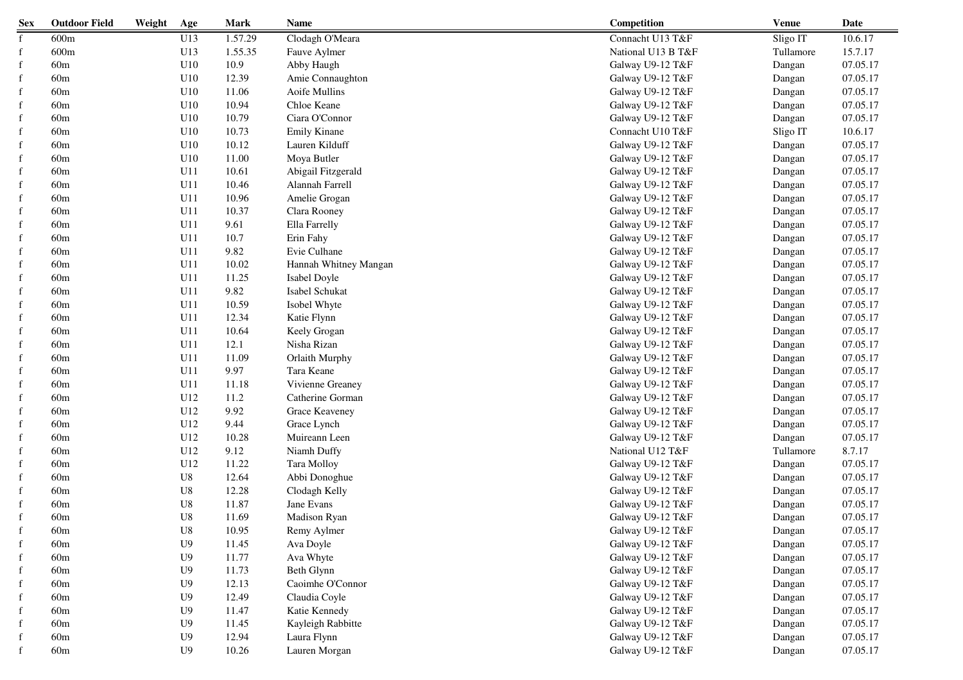| <b>Sex</b>   | <b>Outdoor Field</b> | Weight | Age            | <b>Mark</b> | <b>Name</b>           | Competition        | <b>Venue</b> | Date     |
|--------------|----------------------|--------|----------------|-------------|-----------------------|--------------------|--------------|----------|
| f            | 600m                 |        | U13            | 1.57.29     | Clodagh O'Meara       | Connacht U13 T&F   | Sligo IT     | 10.6.17  |
| $\mathbf{f}$ | 600m                 |        | U13            | 1.55.35     | Fauve Aylmer          | National U13 B T&F | Tullamore    | 15.7.17  |
| $\mathbf{f}$ | 60m                  |        | U10            | 10.9        | Abby Haugh            | Galway U9-12 T&F   | Dangan       | 07.05.17 |
| $\mathbf{f}$ | 60m                  |        | U10            | 12.39       | Amie Connaughton      | Galway U9-12 T&F   | Dangan       | 07.05.17 |
| f            | 60m                  |        | U10            | 11.06       | Aoife Mullins         | Galway U9-12 T&F   | Dangan       | 07.05.17 |
| f            | 60m                  |        | U10            | 10.94       | Chloe Keane           | Galway U9-12 T&F   | Dangan       | 07.05.17 |
| f            | 60m                  |        | U10            | 10.79       | Ciara O'Connor        | Galway U9-12 T&F   | Dangan       | 07.05.17 |
|              | 60m                  |        | U10            | 10.73       | <b>Emily Kinane</b>   | Connacht U10 T&F   | Sligo IT     | 10.6.17  |
|              | 60m                  |        | U10            | 10.12       | Lauren Kilduff        | Galway U9-12 T&F   | Dangan       | 07.05.17 |
| f            | 60m                  |        | U10            | 11.00       | Moya Butler           | Galway U9-12 T&F   | Dangan       | 07.05.17 |
| f            | 60m                  |        | U11            | 10.61       | Abigail Fitzgerald    | Galway U9-12 T&F   | Dangan       | 07.05.17 |
| f            | 60m                  |        | U11            | 10.46       | Alannah Farrell       | Galway U9-12 T&F   | Dangan       | 07.05.17 |
| f            | 60m                  |        | U11            | 10.96       | Amelie Grogan         | Galway U9-12 T&F   | Dangan       | 07.05.17 |
| f            | 60m                  |        | U11            | 10.37       | Clara Rooney          | Galway U9-12 T&F   | Dangan       | 07.05.17 |
| f            | 60m                  |        | U11            | 9.61        | Ella Farrelly         | Galway U9-12 T&F   | Dangan       | 07.05.17 |
| $\mathbf{f}$ | 60m                  |        | U11            | 10.7        | Erin Fahy             | Galway U9-12 T&F   | Dangan       | 07.05.17 |
| $\mathbf{f}$ | 60m                  |        | U11            | 9.82        | Evie Culhane          | Galway U9-12 T&F   | Dangan       | 07.05.17 |
| $\mathbf{f}$ | 60m                  |        | U11            | 10.02       | Hannah Whitney Mangan | Galway U9-12 T&F   | Dangan       | 07.05.17 |
| f            | 60 <sub>m</sub>      |        | U11            | 11.25       | Isabel Doyle          | Galway U9-12 T&F   | Dangan       | 07.05.17 |
| $\mathbf{f}$ | 60m                  |        | U11            | 9.82        | Isabel Schukat        | Galway U9-12 T&F   | Dangan       | 07.05.17 |
| $\mathbf{f}$ | 60m                  |        | U11            | 10.59       | Isobel Whyte          | Galway U9-12 T&F   | Dangan       | 07.05.17 |
| f            | 60m                  |        | U11            | 12.34       | Katie Flynn           | Galway U9-12 T&F   | Dangan       | 07.05.17 |
| f            | 60m                  |        | U11            | 10.64       | Keely Grogan          | Galway U9-12 T&F   | Dangan       | 07.05.17 |
| f            | 60m                  |        | U11            | 12.1        | Nisha Rizan           | Galway U9-12 T&F   | Dangan       | 07.05.17 |
|              | 60m                  |        | U11            | 11.09       | Orlaith Murphy        | Galway U9-12 T&F   | Dangan       | 07.05.17 |
| f            | 60m                  |        | U11            | 9.97        | Tara Keane            | Galway U9-12 T&F   | Dangan       | 07.05.17 |
| f            | 60m                  |        | U11            | 11.18       | Vivienne Greaney      | Galway U9-12 T&F   | Dangan       | 07.05.17 |
| f            | 60m                  |        | U12            | 11.2        | Catherine Gorman      | Galway U9-12 T&F   | Dangan       | 07.05.17 |
| $\mathbf{f}$ | 60m                  |        | U12            | 9.92        | Grace Keaveney        | Galway U9-12 T&F   | Dangan       | 07.05.17 |
| f            | 60m                  |        | U12            | 9.44        | Grace Lynch           | Galway U9-12 T&F   | Dangan       | 07.05.17 |
| f            | 60m                  |        | U12            | 10.28       | Muireann Leen         | Galway U9-12 T&F   | Dangan       | 07.05.17 |
| f            | 60m                  |        | U12            | 9.12        | Niamh Duffy           | National U12 T&F   | Tullamore    | 8.7.17   |
| f            | 60m                  |        | U12            | 11.22       | Tara Molloy           | Galway U9-12 T&F   | Dangan       | 07.05.17 |
| $\mathbf{f}$ | 60m                  |        | ${\bf U}8$     | 12.64       | Abbi Donoghue         | Galway U9-12 T&F   | Dangan       | 07.05.17 |
| f            | 60m                  |        | ${\bf U}8$     | 12.28       | Clodagh Kelly         | Galway U9-12 T&F   | Dangan       | 07.05.17 |
| f            | 60m                  |        | ${\bf U}8$     | 11.87       | Jane Evans            | Galway U9-12 T&F   | Dangan       | 07.05.17 |
|              | 60m                  |        | ${\bf U}8$     | 11.69       | Madison Ryan          | Galway U9-12 T&F   | Dangan       | 07.05.17 |
|              | 60m                  |        | ${\bf U}8$     | 10.95       | Remy Aylmer           | Galway U9-12 T&F   | Dangan       | 07.05.17 |
| $\mathbf{f}$ | 60m                  |        | U <sub>9</sub> | 11.45       | Ava Doyle             | Galway U9-12 T&F   | Dangan       | 07.05.17 |
| f            | 60m                  |        | U <sub>9</sub> | 11.77       | Ava Whyte             | Galway U9-12 T&F   | Dangan       | 07.05.17 |
| f            | 60m                  |        | U <sub>9</sub> | 11.73       | Beth Glynn            | Galway U9-12 T&F   | Dangan       | 07.05.17 |
|              | 60 <sub>m</sub>      |        | U <sub>9</sub> | 12.13       | Caoimhe O'Connor      | Galway U9-12 T&F   | Dangan       | 07.05.17 |
|              | 60m                  |        | U <sub>9</sub> | 12.49       | Claudia Coyle         | Galway U9-12 T&F   | Dangan       | 07.05.17 |
|              | 60m                  |        | U <sub>9</sub> | 11.47       | Katie Kennedy         | Galway U9-12 T&F   | Dangan       | 07.05.17 |
| f            | 60m                  |        | U <sub>9</sub> | 11.45       | Kayleigh Rabbitte     | Galway U9-12 T&F   | Dangan       | 07.05.17 |
| f            | 60m                  |        | ${\rm U}9$     | 12.94       | Laura Flynn           | Galway U9-12 T&F   | Dangan       | 07.05.17 |
|              | 60m                  |        | U <sub>9</sub> | 10.26       | Lauren Morgan         | Galway U9-12 T&F   | Dangan       | 07.05.17 |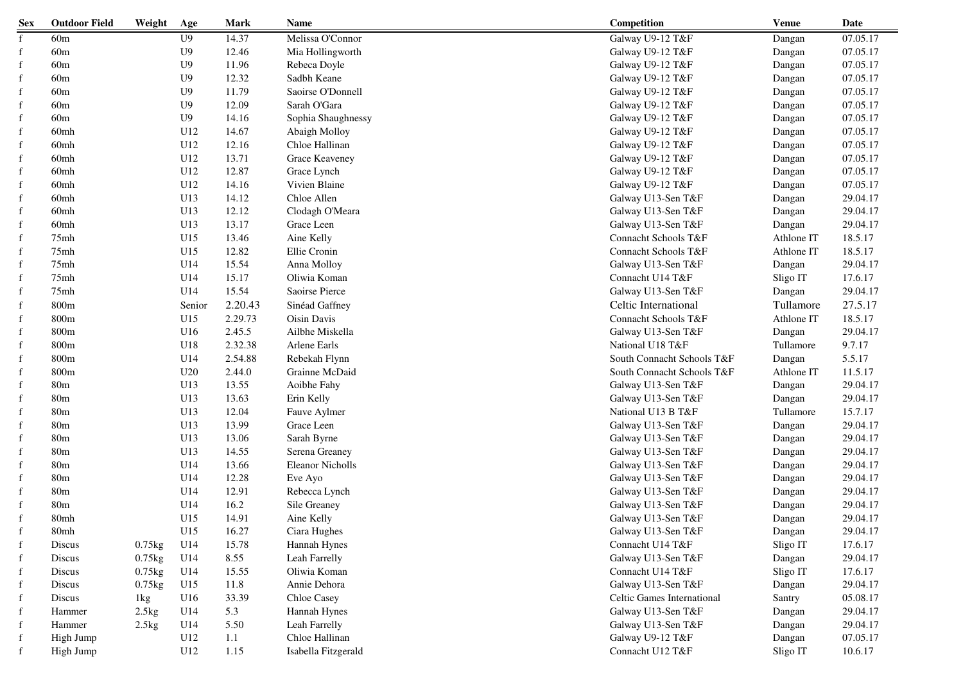| <b>Sex</b>  | <b>Outdoor Field</b> | Weight      | Age            | <b>Mark</b> | Name                    | Competition                | <b>Venue</b> | Date     |
|-------------|----------------------|-------------|----------------|-------------|-------------------------|----------------------------|--------------|----------|
| f           | 60m                  |             | U <sub>9</sub> | 14.37       | Melissa O'Connor        | Galway U9-12 T&F           | Dangan       | 07.05.17 |
| f           | 60m                  |             | U <sub>9</sub> | 12.46       | Mia Hollingworth        | Galway U9-12 T&F           | Dangan       | 07.05.17 |
| f           | 60 <sub>m</sub>      |             | U <sub>9</sub> | 11.96       | Rebeca Doyle            | Galway U9-12 T&F           | Dangan       | 07.05.17 |
| f           | 60m                  |             | U <sub>9</sub> | 12.32       | Sadbh Keane             | Galway U9-12 T&F           | Dangan       | 07.05.17 |
|             | 60m                  |             | U <sub>9</sub> | 11.79       | Saoirse O'Donnell       | Galway U9-12 T&F           | Dangan       | 07.05.17 |
|             | 60m                  |             | U <sub>9</sub> | 12.09       | Sarah O'Gara            | Galway U9-12 T&F           | Dangan       | 07.05.17 |
|             | 60m                  |             | U <sub>9</sub> | 14.16       | Sophia Shaughnessy      | Galway U9-12 T&F           | Dangan       | 07.05.17 |
|             | 60 <sub>mh</sub>     |             | U12            | 14.67       | Abaigh Molloy           | Galway U9-12 T&F           | Dangan       | 07.05.17 |
|             | 60 <sub>mh</sub>     |             | U12            | 12.16       | Chloe Hallinan          | Galway U9-12 T&F           | Dangan       | 07.05.17 |
| $\mathbf f$ | 60 <sub>mh</sub>     |             | U12            | 13.71       | Grace Keaveney          | Galway U9-12 T&F           | Dangan       | 07.05.17 |
| f           | 60 <sub>mh</sub>     |             | U12            | 12.87       | Grace Lynch             | Galway U9-12 T&F           | Dangan       | 07.05.17 |
| f           | 60 <sub>mh</sub>     |             | U12            | 14.16       | Vivien Blaine           | Galway U9-12 T&F           | Dangan       | 07.05.17 |
| f           | 60mh                 |             | U13            | 14.12       | Chloe Allen             | Galway U13-Sen T&F         | Dangan       | 29.04.17 |
| f           | 60mh                 |             | U13            | 12.12       | Clodagh O'Meara         | Galway U13-Sen T&F         | Dangan       | 29.04.17 |
| f           | 60mh                 |             | U13            | 13.17       | Grace Leen              | Galway U13-Sen T&F         | Dangan       | 29.04.17 |
| f           | 75mh                 |             | U15            | 13.46       | Aine Kelly              | Connacht Schools T&F       | Athlone IT   | 18.5.17  |
| f           | 75mh                 |             | U15            | 12.82       | Ellie Cronin            | Connacht Schools T&F       | Athlone IT   | 18.5.17  |
| f           | 75mh                 |             | U14            | 15.54       | Anna Molloy             | Galway U13-Sen T&F         | Dangan       | 29.04.17 |
| f           | 75mh                 |             | U14            | 15.17       | Oliwia Koman            | Connacht U14 T&F           | Sligo IT     | 17.6.17  |
| f           | 75 <sub>mh</sub>     |             | U14            | 15.54       | Saoirse Pierce          | Galway U13-Sen T&F         | Dangan       | 29.04.17 |
| f           | 800m                 |             | Senior         | 2.20.43     | Sinéad Gaffney          | Celtic International       | Tullamore    | 27.5.17  |
| f           | 800m                 |             | U15            | 2.29.73     | Oisin Davis             | Connacht Schools T&F       | Athlone IT   | 18.5.17  |
| f           | 800m                 |             | U16            | 2.45.5      | Ailbhe Miskella         | Galway U13-Sen T&F         | Dangan       | 29.04.17 |
| f           | 800m                 |             | U18            | 2.32.38     | Arlene Earls            | National U18 T&F           | Tullamore    | 9.7.17   |
|             | 800m                 |             | U14            | 2.54.88     | Rebekah Flynn           | South Connacht Schools T&F | Dangan       | 5.5.17   |
|             | 800m                 |             | U20            | 2.44.0      | Grainne McDaid          | South Connacht Schools T&F | Athlone IT   | 11.5.17  |
|             | 80 <sub>m</sub>      |             | U13            | 13.55       | Aoibhe Fahy             | Galway U13-Sen T&F         | Dangan       | 29.04.17 |
|             | 80 <sub>m</sub>      |             | U13            | 13.63       | Erin Kelly              | Galway U13-Sen T&F         | Dangan       | 29.04.17 |
|             | 80 <sub>m</sub>      |             | U13            | 12.04       | Fauve Aylmer            | National U13 B T&F         | Tullamore    | 15.7.17  |
| f           | 80 <sub>m</sub>      |             | U13            | 13.99       | Grace Leen              | Galway U13-Sen T&F         | Dangan       | 29.04.17 |
| f           | 80m                  |             | U13            | 13.06       | Sarah Byrne             | Galway U13-Sen T&F         | Dangan       | 29.04.17 |
| f           | 80m                  |             | U13            | 14.55       | Serena Greaney          | Galway U13-Sen T&F         | Dangan       | 29.04.17 |
| f           | 80m                  |             | U14            | 13.66       | <b>Eleanor Nicholls</b> | Galway U13-Sen T&F         | Dangan       | 29.04.17 |
| f           | 80m                  |             | U14            | 12.28       | Eve Ayo                 | Galway U13-Sen T&F         | Dangan       | 29.04.17 |
| f           | 80m                  |             | U14            | 12.91       | Rebecca Lynch           | Galway U13-Sen T&F         | Dangan       | 29.04.17 |
|             | 80m                  |             | U14            | 16.2        | Sile Greaney            | Galway U13-Sen T&F         | Dangan       | 29.04.17 |
|             | 80mh                 |             | U15            | 14.91       | Aine Kelly              | Galway U13-Sen T&F         | Dangan       | 29.04.17 |
|             | 80mh                 |             | U15            | 16.27       | Ciara Hughes            | Galway U13-Sen T&F         | Dangan       | 29.04.17 |
| f           | Discus               | $0.75$ kg   | U14            | 15.78       | Hannah Hynes            | Connacht U14 T&F           | Sligo IT     | 17.6.17  |
| f           | Discus               | $0.75$ kg   | U14            | 8.55        | Leah Farrelly           | Galway U13-Sen T&F         | Dangan       | 29.04.17 |
|             | Discus               | $0.75$ $kg$ | U14            | 15.55       | Oliwia Koman            | Connacht U14 T&F           | Sligo IT     | 17.6.17  |
|             | Discus               | $0.75$ $kg$ | U15            | 11.8        | Annie Dehora            | Galway U13-Sen T&F         | Dangan       | 29.04.17 |
|             | Discus               | 1kg         | U16            | 33.39       | Chloe Casey             | Celtic Games International | Santry       | 05.08.17 |
|             | Hammer               | 2.5kg       | U14            | 5.3         | Hannah Hynes            | Galway U13-Sen T&F         | Dangan       | 29.04.17 |
|             | Hammer               | 2.5kg       | U14            | 5.50        | Leah Farrelly           | Galway U13-Sen T&F         | Dangan       | 29.04.17 |
|             | High Jump            |             | U12            | 1.1         | Chloe Hallinan          | Galway U9-12 T&F           | Dangan       | 07.05.17 |
|             | High Jump            |             | U12            | 1.15        | Isabella Fitzgerald     | Connacht U12 T&F           | Sligo IT     | 10.6.17  |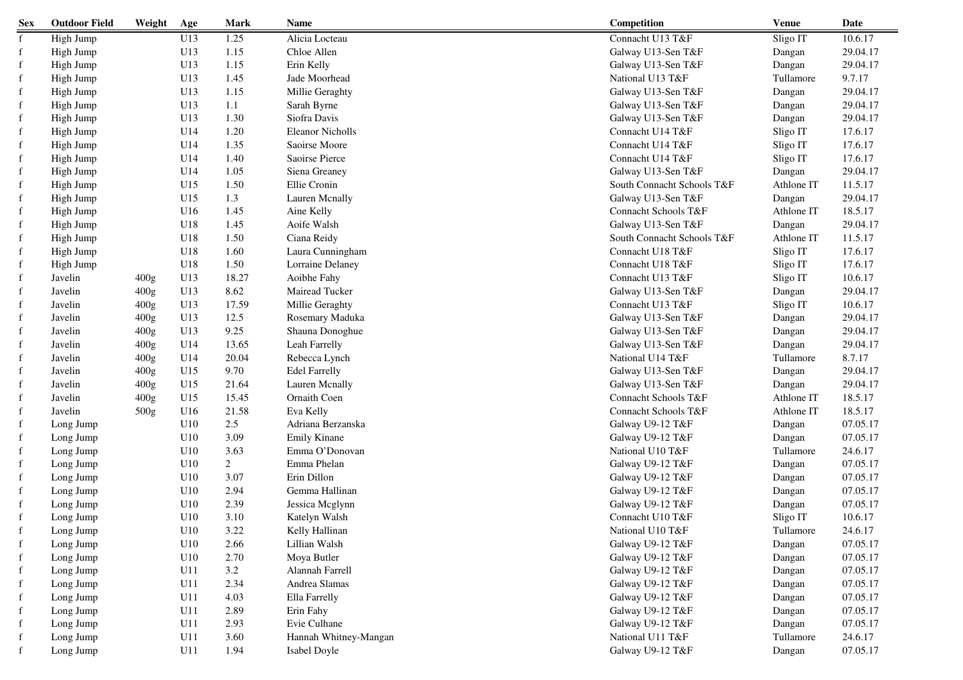| <b>Sex</b>  | <b>Outdoor Field</b> | Weight | Age | Mark           | Name                    | Competition                | <b>Venue</b> | Date     |
|-------------|----------------------|--------|-----|----------------|-------------------------|----------------------------|--------------|----------|
| f           | High Jump            |        | U13 | 1.25           | Alicia Locteau          | Connacht U13 T&F           | Sligo IT     | 10.6.17  |
| $\mathbf f$ | High Jump            |        | U13 | 1.15           | Chloe Allen             | Galway U13-Sen T&F         | Dangan       | 29.04.17 |
| $\mathbf f$ | High Jump            |        | U13 | 1.15           | Erin Kelly              | Galway U13-Sen T&F         | Dangan       | 29.04.17 |
| $\mathbf f$ | High Jump            |        | U13 | 1.45           | Jade Moorhead           | National U13 T&F           | Tullamore    | 9.7.17   |
| $\mathbf f$ | High Jump            |        | U13 | 1.15           | Millie Geraghty         | Galway U13-Sen T&F         | Dangan       | 29.04.17 |
| f           | High Jump            |        | U13 | 1.1            | Sarah Byrne             | Galway U13-Sen T&F         | Dangan       | 29.04.17 |
| f           | High Jump            |        | U13 | 1.30           | Siofra Davis            | Galway U13-Sen T&F         | Dangan       | 29.04.17 |
| f           | High Jump            |        | U14 | 1.20           | <b>Eleanor Nicholls</b> | Connacht U14 T&F           | Sligo IT     | 17.6.17  |
|             | High Jump            |        | U14 | 1.35           | Saoirse Moore           | Connacht U14 T&F           | Sligo IT     | 17.6.17  |
| f           | High Jump            |        | U14 | 1.40           | Saoirse Pierce          | Connacht U14 T&F           | Sligo IT     | 17.6.17  |
| f           | High Jump            |        | U14 | 1.05           | Siena Greaney           | Galway U13-Sen T&F         | Dangan       | 29.04.17 |
| f           | High Jump            |        | U15 | 1.50           | Ellie Cronin            | South Connacht Schools T&F | Athlone IT   | 11.5.17  |
| $\mathbf f$ | High Jump            |        | U15 | 1.3            | Lauren Mcnally          | Galway U13-Sen T&F         | Dangan       | 29.04.17 |
| f           | High Jump            |        | U16 | 1.45           | Aine Kelly              | Connacht Schools T&F       | Athlone IT   | 18.5.17  |
| $\mathbf f$ | High Jump            |        | U18 | 1.45           | Aoife Walsh             | Galway U13-Sen T&F         | Dangan       | 29.04.17 |
| f           | High Jump            |        | U18 | 1.50           | Ciana Reidy             | South Connacht Schools T&F | Athlone IT   | 11.5.17  |
| f           | High Jump            |        | U18 | 1.60           | Laura Cunningham        | Connacht U18 T&F           | Sligo IT     | 17.6.17  |
| f           | High Jump            |        | U18 | 1.50           | Lorraine Delaney        | Connacht U18 T&F           | Sligo IT     | 17.6.17  |
| f           | Javelin              | 400g   | U13 | 18.27          | Aoibhe Fahy             | Connacht U13 T&F           | Sligo IT     | 10.6.17  |
| $\mathbf f$ | Javelin              | 400g   | U13 | 8.62           | Mairead Tucker          | Galway U13-Sen T&F         | Dangan       | 29.04.17 |
| $\mathbf f$ | Javelin              | 400g   | U13 | 17.59          | Millie Geraghty         | Connacht U13 T&F           | Sligo IT     | 10.6.17  |
| f           | Javelin              | 400g   | U13 | 12.5           | Rosemary Maduka         | Galway U13-Sen T&F         | Dangan       | 29.04.17 |
| f           | Javelin              | 400g   | U13 | 9.25           | Shauna Donoghue         | Galway U13-Sen T&F         | Dangan       | 29.04.17 |
| f           | Javelin              | 400g   | U14 | 13.65          | Leah Farrelly           | Galway U13-Sen T&F         | Dangan       | 29.04.17 |
|             | Javelin              | 400g   | U14 | 20.04          | Rebecca Lynch           | National U14 T&F           | Tullamore    | 8.7.17   |
|             | Javelin              | 400g   | U15 | 9.70           | <b>Edel Farrelly</b>    | Galway U13-Sen T&F         | Dangan       | 29.04.17 |
| f           | Javelin              | 400g   | U15 | 21.64          | Lauren Mcnally          | Galway U13-Sen T&F         | Dangan       | 29.04.17 |
| f           | Javelin              | 400g   | U15 | 15.45          | Ornaith Coen            | Connacht Schools T&F       | Athlone IT   | 18.5.17  |
| f           | Javelin              | 500g   | U16 | 21.58          | Eva Kelly               | Connacht Schools T&F       | Athlone IT   | 18.5.17  |
| f           | Long Jump            |        | U10 | 2.5            | Adriana Berzanska       | Galway U9-12 T&F           | Dangan       | 07.05.17 |
| f           | Long Jump            |        | U10 | 3.09           | <b>Emily Kinane</b>     | Galway U9-12 T&F           | Dangan       | 07.05.17 |
| f           | Long Jump            |        | U10 | 3.63           | Emma O'Donovan          | National U10 T&F           | Tullamore    | 24.6.17  |
| f           | Long Jump            |        | U10 | $\overline{2}$ | Emma Phelan             | Galway U9-12 T&F           | Dangan       | 07.05.17 |
| f           | Long Jump            |        | U10 | 3.07           | Erin Dillon             | Galway U9-12 T&F           | Dangan       | 07.05.17 |
| f           | Long Jump            |        | U10 | 2.94           | Gemma Hallinan          | Galway U9-12 T&F           | Dangan       | 07.05.17 |
| f           | Long Jump            |        | U10 | 2.39           | Jessica Mcglynn         | Galway U9-12 T&F           | Dangan       | 07.05.17 |
|             | Long Jump            |        | U10 | 3.10           | Katelyn Walsh           | Connacht U10 T&F           | Sligo IT     | 10.6.17  |
|             | Long Jump            |        | U10 | 3.22           | Kelly Hallinan          | National U10 T&F           | Tullamore    | 24.6.17  |
| f           | Long Jump            |        | U10 | 2.66           | Lillian Walsh           | Galway U9-12 T&F           | Dangan       | 07.05.17 |
| f           | Long Jump            |        | U10 | 2.70           | Moya Butler             | Galway U9-12 T&F           | Dangan       | 07.05.17 |
| f           | Long Jump            |        | U11 | 3.2            | Alannah Farrell         | Galway U9-12 T&F           | Dangan       | 07.05.17 |
| f           | Long Jump            |        | U11 | 2.34           | Andrea Slamas           | Galway U9-12 T&F           | Dangan       | 07.05.17 |
|             | Long Jump            |        | U11 | 4.03           | Ella Farrelly           | Galway U9-12 T&F           | Dangan       | 07.05.17 |
| f           | Long Jump            |        | U11 | 2.89           | Erin Fahy               | Galway U9-12 T&F           | Dangan       | 07.05.17 |
| f           | Long Jump            |        | U11 | 2.93           | Evie Culhane            | Galway U9-12 T&F           | Dangan       | 07.05.17 |
| f           | Long Jump            |        | U11 | 3.60           | Hannah Whitney-Mangan   | National U11 T&F           | Tullamore    | 24.6.17  |
| f           | Long Jump            |        | U11 | 1.94           | Isabel Doyle            | Galway U9-12 T&F           | Dangan       | 07.05.17 |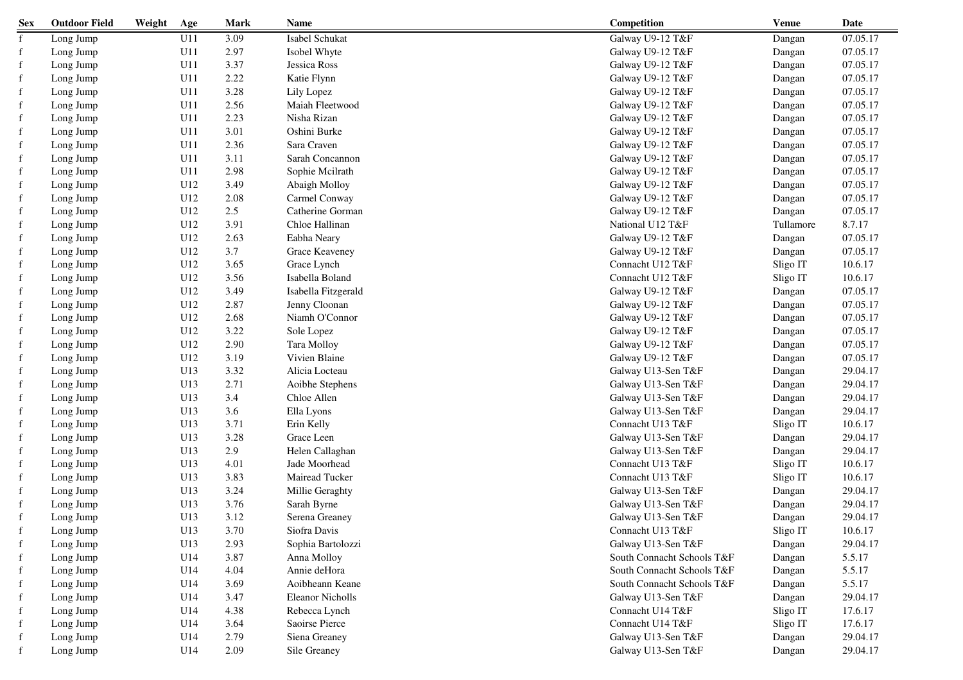| <b>Sex</b>  | <b>Outdoor Field</b> | Weight | Age | Mark    | Name                    | Competition                | <b>Venue</b> | Date     |
|-------------|----------------------|--------|-----|---------|-------------------------|----------------------------|--------------|----------|
| f           | Long Jump            |        | U11 | 3.09    | Isabel Schukat          | Galway U9-12 T&F           | Dangan       | 07.05.17 |
| $\mathbf f$ | Long Jump            |        | U11 | 2.97    | Isobel Whyte            | Galway U9-12 T&F           | Dangan       | 07.05.17 |
| $\mathbf f$ | Long Jump            |        | U11 | 3.37    | Jessica Ross            | Galway U9-12 T&F           | Dangan       | 07.05.17 |
| f           | Long Jump            |        | U11 | 2.22    | Katie Flynn             | Galway U9-12 T&F           | Dangan       | 07.05.17 |
| f           | Long Jump            |        | U11 | 3.28    | Lily Lopez              | Galway U9-12 T&F           | Dangan       | 07.05.17 |
| f           | Long Jump            |        | U11 | 2.56    | Maiah Fleetwood         | Galway U9-12 T&F           | Dangan       | 07.05.17 |
| f           | Long Jump            |        | U11 | 2.23    | Nisha Rizan             | Galway U9-12 T&F           | Dangan       | 07.05.17 |
| f           | Long Jump            |        | U11 | 3.01    | Oshini Burke            | Galway U9-12 T&F           | Dangan       | 07.05.17 |
| f           | Long Jump            |        | U11 | 2.36    | Sara Craven             | Galway U9-12 T&F           | Dangan       | 07.05.17 |
| f           | Long Jump            |        | U11 | 3.11    | Sarah Concannon         | Galway U9-12 T&F           | Dangan       | 07.05.17 |
| f           | Long Jump            |        | U11 | 2.98    | Sophie Mcilrath         | Galway U9-12 T&F           | Dangan       | 07.05.17 |
| $\mathbf f$ | Long Jump            |        | U12 | 3.49    | Abaigh Molloy           | Galway U9-12 T&F           | Dangan       | 07.05.17 |
| f           | Long Jump            |        | U12 | 2.08    | Carmel Conway           | Galway U9-12 T&F           | Dangan       | 07.05.17 |
| f           | Long Jump            |        | U12 | $2.5\,$ | Catherine Gorman        | Galway U9-12 T&F           | Dangan       | 07.05.17 |
| f           | Long Jump            |        | U12 | 3.91    | Chloe Hallinan          | National U12 T&F           | Tullamore    | 8.7.17   |
| f           | Long Jump            |        | U12 | 2.63    | Eabha Neary             | Galway U9-12 T&F           | Dangan       | 07.05.17 |
| f           | Long Jump            |        | U12 | 3.7     | Grace Keaveney          | Galway U9-12 T&F           | Dangan       | 07.05.17 |
| $\mathbf f$ | Long Jump            |        | U12 | 3.65    | Grace Lynch             | Connacht U12 T&F           | Sligo IT     | 10.6.17  |
| f           | Long Jump            |        | U12 | 3.56    | Isabella Boland         | Connacht U12 T&F           | Sligo IT     | 10.6.17  |
| f           | Long Jump            |        | U12 | 3.49    | Isabella Fitzgerald     | Galway U9-12 T&F           | Dangan       | 07.05.17 |
| f           | Long Jump            |        | U12 | 2.87    | Jenny Cloonan           | Galway U9-12 T&F           | Dangan       | 07.05.17 |
| f           | Long Jump            |        | U12 | 2.68    | Niamh O'Connor          | Galway U9-12 T&F           | Dangan       | 07.05.17 |
| f           | Long Jump            |        | U12 | 3.22    | Sole Lopez              | Galway U9-12 T&F           | Dangan       | 07.05.17 |
| f           | Long Jump            |        | U12 | 2.90    | Tara Molloy             | Galway U9-12 T&F           | Dangan       | 07.05.17 |
| f           | Long Jump            |        | U12 | 3.19    | Vivien Blaine           | Galway U9-12 T&F           | Dangan       | 07.05.17 |
| f           | Long Jump            |        | U13 | 3.32    | Alicia Locteau          | Galway U13-Sen T&F         | Dangan       | 29.04.17 |
| f           | Long Jump            |        | U13 | 2.71    | Aoibhe Stephens         | Galway U13-Sen T&F         | Dangan       | 29.04.17 |
| f           | Long Jump            |        | U13 | 3.4     | Chloe Allen             | Galway U13-Sen T&F         | Dangan       | 29.04.17 |
| f           | Long Jump            |        | U13 | 3.6     | Ella Lyons              | Galway U13-Sen T&F         | Dangan       | 29.04.17 |
| f           | Long Jump            |        | U13 | 3.71    | Erin Kelly              | Connacht U13 T&F           | Sligo IT     | 10.6.17  |
| f           | Long Jump            |        | U13 | 3.28    | Grace Leen              | Galway U13-Sen T&F         | Dangan       | 29.04.17 |
| f           | Long Jump            |        | U13 | 2.9     | Helen Callaghan         | Galway U13-Sen T&F         | Dangan       | 29.04.17 |
| $\mathbf f$ | Long Jump            |        | U13 | 4.01    | Jade Moorhead           | Connacht U13 T&F           | Sligo IT     | 10.6.17  |
| $\mathbf f$ | Long Jump            |        | U13 | 3.83    | Mairead Tucker          | Connacht U13 T&F           | Sligo IT     | 10.6.17  |
| f           | Long Jump            |        | U13 | 3.24    | Millie Geraghty         | Galway U13-Sen T&F         | Dangan       | 29.04.17 |
| f           | Long Jump            |        | U13 | 3.76    | Sarah Byrne             | Galway U13-Sen T&F         | Dangan       | 29.04.17 |
|             | Long Jump            |        | U13 | 3.12    | Serena Greaney          | Galway U13-Sen T&F         | Dangan       | 29.04.17 |
|             | Long Jump            |        | U13 | 3.70    | Siofra Davis            | Connacht U13 T&F           | Sligo IT     | 10.6.17  |
| f           | Long Jump            |        | U13 | 2.93    | Sophia Bartolozzi       | Galway U13-Sen T&F         | Dangan       | 29.04.17 |
| f           | Long Jump            |        | U14 | 3.87    | Anna Molloy             | South Connacht Schools T&F | Dangan       | 5.5.17   |
|             | Long Jump            |        | U14 | 4.04    | Annie deHora            | South Connacht Schools T&F | Dangan       | 5.5.17   |
| f           | Long Jump            |        | U14 | 3.69    | Aoibheann Keane         | South Connacht Schools T&F | Dangan       | 5.5.17   |
| f           | Long Jump            |        | U14 | 3.47    | <b>Eleanor Nicholls</b> | Galway U13-Sen T&F         | Dangan       | 29.04.17 |
| f           | Long Jump            |        | U14 | 4.38    | Rebecca Lynch           | Connacht U14 T&F           | Sligo IT     | 17.6.17  |
| f           | Long Jump            |        | U14 | 3.64    | Saoirse Pierce          | Connacht U14 T&F           | Sligo IT     | 17.6.17  |
| f           | Long Jump            |        | U14 | 2.79    | Siena Greaney           | Galway U13-Sen T&F         | Dangan       | 29.04.17 |
|             | Long Jump            |        | U14 | 2.09    | Sile Greaney            | Galway U13-Sen T&F         | Dangan       | 29.04.17 |
|             |                      |        |     |         |                         |                            |              |          |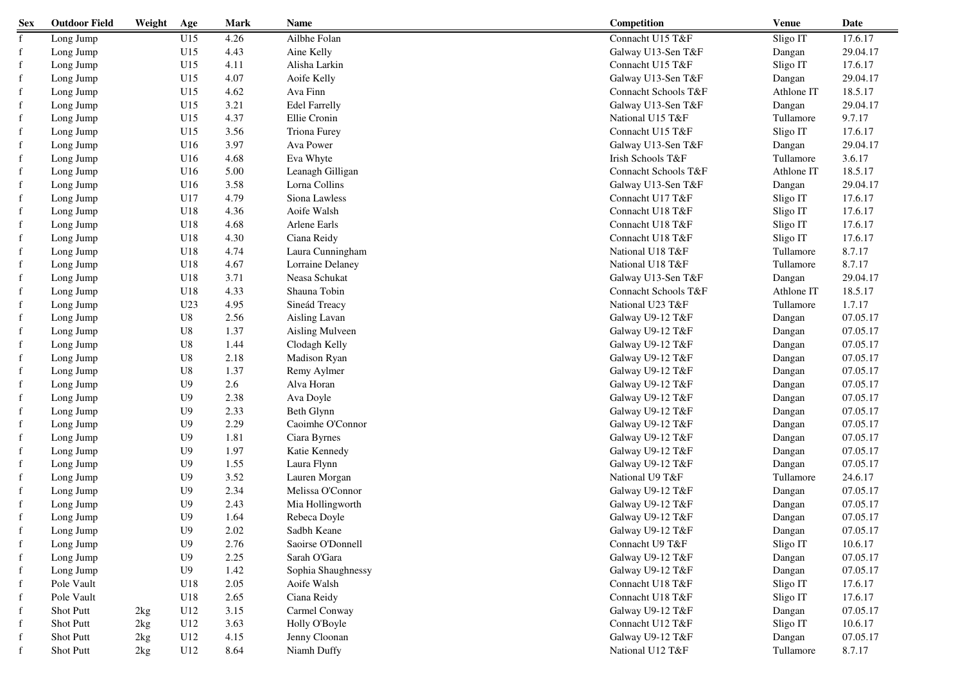| <b>Sex</b>  | <b>Outdoor Field</b> | Weight | Age             | <b>Mark</b> | Name                 | Competition          | <b>Venue</b> | Date     |
|-------------|----------------------|--------|-----------------|-------------|----------------------|----------------------|--------------|----------|
| $\mathbf f$ | Long Jump            |        | U15             | 4.26        | Ailbhe Folan         | Connacht U15 T&F     | Sligo IT     | 17.6.17  |
| $\mathbf f$ | Long Jump            |        | U15             | 4.43        | Aine Kelly           | Galway U13-Sen T&F   | Dangan       | 29.04.17 |
| $\mathbf f$ | Long Jump            |        | U15             | 4.11        | Alisha Larkin        | Connacht U15 T&F     | Sligo IT     | 17.6.17  |
| $\mathbf f$ | Long Jump            |        | U15             | 4.07        | Aoife Kelly          | Galway U13-Sen T&F   | Dangan       | 29.04.17 |
| f           | Long Jump            |        | U15             | 4.62        | Ava Finn             | Connacht Schools T&F | Athlone IT   | 18.5.17  |
| f           | Long Jump            |        | U15             | 3.21        | <b>Edel Farrelly</b> | Galway U13-Sen T&F   | Dangan       | 29.04.17 |
| f           | Long Jump            |        | U15             | 4.37        | Ellie Cronin         | National U15 T&F     | Tullamore    | 9.7.17   |
| f           | Long Jump            |        | U15             | 3.56        | Triona Furey         | Connacht U15 T&F     | Sligo IT     | 17.6.17  |
| $\mathbf f$ | Long Jump            |        | U16             | 3.97        | Ava Power            | Galway U13-Sen T&F   | Dangan       | 29.04.17 |
| $\mathbf f$ | Long Jump            |        | U16             | 4.68        | Eva Whyte            | Irish Schools T&F    | Tullamore    | 3.6.17   |
| $\mathbf f$ | Long Jump            |        | U16             | 5.00        | Leanagh Gilligan     | Connacht Schools T&F | Athlone IT   | 18.5.17  |
| $\mathbf f$ | Long Jump            |        | U16             | 3.58        | Lorna Collins        | Galway U13-Sen T&F   | Dangan       | 29.04.17 |
| $\mathbf f$ | Long Jump            |        | U17             | 4.79        | Siona Lawless        | Connacht U17 T&F     | Sligo IT     | 17.6.17  |
| f           | Long Jump            |        | U18             | 4.36        | Aoife Walsh          | Connacht U18 T&F     | Sligo IT     | 17.6.17  |
| $\mathbf f$ | Long Jump            |        | U18             | 4.68        | Arlene Earls         | Connacht U18 T&F     | Sligo IT     | 17.6.17  |
| f           | Long Jump            |        | U18             | 4.30        | Ciana Reidy          | Connacht U18 T&F     | Sligo IT     | 17.6.17  |
| $\mathbf f$ | Long Jump            |        | U18             | 4.74        | Laura Cunningham     | National U18 T&F     | Tullamore    | 8.7.17   |
| $\mathbf f$ | Long Jump            |        | U18             | 4.67        | Lorraine Delaney     | National U18 T&F     | Tullamore    | 8.7.17   |
| $\mathbf f$ | Long Jump            |        | U18             | 3.71        | Neasa Schukat        | Galway U13-Sen T&F   | Dangan       | 29.04.17 |
| f           | Long Jump            |        | U18             | 4.33        | Shauna Tobin         | Connacht Schools T&F | Athlone IT   | 18.5.17  |
| $\mathbf f$ | Long Jump            |        | U <sub>23</sub> | 4.95        | Sineád Treacy        | National U23 T&F     | Tullamore    | 1.7.17   |
| f           | Long Jump            |        | U8              | 2.56        | Aisling Lavan        | Galway U9-12 T&F     | Dangan       | 07.05.17 |
| f           | Long Jump            |        | U8              | 1.37        | Aisling Mulveen      | Galway U9-12 T&F     | Dangan       | 07.05.17 |
| f           | Long Jump            |        | U8              | 1.44        | Clodagh Kelly        | Galway U9-12 T&F     | Dangan       | 07.05.17 |
| f           | Long Jump            |        | U8              | 2.18        | Madison Ryan         | Galway U9-12 T&F     | Dangan       | 07.05.17 |
| $\mathbf f$ | Long Jump            |        | U8              | 1.37        | Remy Aylmer          | Galway U9-12 T&F     | Dangan       | 07.05.17 |
| f           | Long Jump            |        | U <sub>9</sub>  | 2.6         | Alva Horan           | Galway U9-12 T&F     | Dangan       | 07.05.17 |
| f           | Long Jump            |        | U <sub>9</sub>  | 2.38        | Ava Doyle            | Galway U9-12 T&F     | Dangan       | 07.05.17 |
| $\mathbf f$ | Long Jump            |        | U <sub>9</sub>  | 2.33        | Beth Glynn           | Galway U9-12 T&F     | Dangan       | 07.05.17 |
| $\mathbf f$ | Long Jump            |        | U <sub>9</sub>  | 2.29        | Caoimhe O'Connor     | Galway U9-12 T&F     | Dangan       | 07.05.17 |
| $\mathbf f$ | Long Jump            |        | U <sub>9</sub>  | 1.81        | Ciara Byrnes         | Galway U9-12 T&F     | Dangan       | 07.05.17 |
| $\mathbf f$ | Long Jump            |        | U <sub>9</sub>  | 1.97        | Katie Kennedy        | Galway U9-12 T&F     | Dangan       | 07.05.17 |
| $\mathbf f$ | Long Jump            |        | U <sub>9</sub>  | 1.55        | Laura Flynn          | Galway U9-12 T&F     | Dangan       | 07.05.17 |
| $\mathbf f$ | Long Jump            |        | U <sub>9</sub>  | 3.52        | Lauren Morgan        | National U9 T&F      | Tullamore    | 24.6.17  |
| f           | Long Jump            |        | U <sub>9</sub>  | 2.34        | Melissa O'Connor     | Galway U9-12 T&F     | Dangan       | 07.05.17 |
| f           | Long Jump            |        | U <sub>9</sub>  | 2.43        | Mia Hollingworth     | Galway U9-12 T&F     | Dangan       | 07.05.17 |
|             | Long Jump            |        | U <sub>9</sub>  | 1.64        | Rebeca Doyle         | Galway U9-12 T&F     | Dangan       | 07.05.17 |
|             | Long Jump            |        | U9              | 2.02        | Sadbh Keane          | Galway U9-12 T&F     | Dangan       | 07.05.17 |
| f           | Long Jump            |        | U <sub>9</sub>  | 2.76        | Saoirse O'Donnell    | Connacht U9 T&F      | Sligo IT     | 10.6.17  |
| $\mathbf f$ | Long Jump            |        | U9              | 2.25        | Sarah O'Gara         | Galway U9-12 T&F     | Dangan       | 07.05.17 |
| f           | Long Jump            |        | U9              | 1.42        | Sophia Shaughnessy   | Galway U9-12 T&F     | Dangan       | 07.05.17 |
| f           | Pole Vault           |        | U18             | 2.05        | Aoife Walsh          | Connacht U18 T&F     | Sligo IT     | 17.6.17  |
| f           | Pole Vault           |        | U18             | 2.65        | Ciana Reidy          | Connacht U18 T&F     | Sligo IT     | 17.6.17  |
| f           | <b>Shot Putt</b>     | 2kg    | U12             | 3.15        | Carmel Conway        | Galway U9-12 T&F     | Dangan       | 07.05.17 |
| f           | <b>Shot Putt</b>     | 2kg    | U12             | 3.63        | Holly O'Boyle        | Connacht U12 T&F     | Sligo IT     | 10.6.17  |
| f           | Shot Putt            | 2kg    | U12             | 4.15        | Jenny Cloonan        | Galway U9-12 T&F     | Dangan       | 07.05.17 |
| f           | Shot Putt            | 2kg    | U12             | 8.64        | Niamh Duffy          | National U12 T&F     | Tullamore    | 8.7.17   |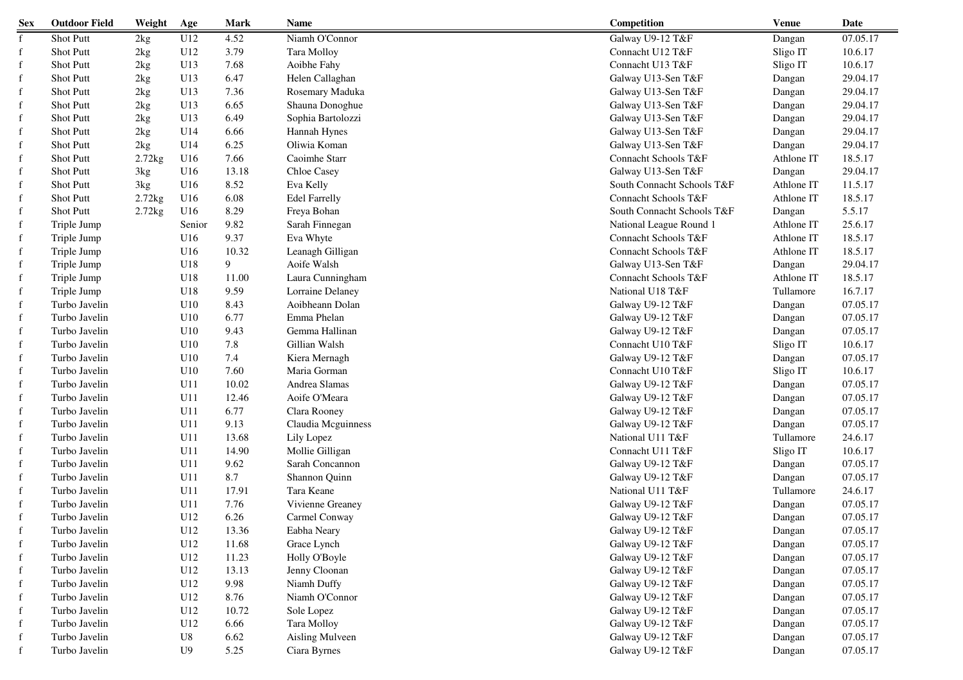| <b>Sex</b>  | <b>Outdoor Field</b> | Weight      | Age    | <b>Mark</b> | <b>Name</b>          | Competition                | <b>Venue</b> | Date     |
|-------------|----------------------|-------------|--------|-------------|----------------------|----------------------------|--------------|----------|
| $\mathbf f$ | Shot Putt            | 2kg         | U12    | 4.52        | Niamh O'Connor       | Galway U9-12 T&F           | Dangan       | 07.05.17 |
| f           | <b>Shot Putt</b>     | 2kg         | U12    | 3.79        | Tara Molloy          | Connacht U12 T&F           | Sligo IT     | 10.6.17  |
| f           | <b>Shot Putt</b>     | 2kg         | U13    | 7.68        | Aoibhe Fahy          | Connacht U13 T&F           | Sligo IT     | 10.6.17  |
| f           | <b>Shot Putt</b>     | 2kg         | U13    | 6.47        | Helen Callaghan      | Galway U13-Sen T&F         | Dangan       | 29.04.17 |
| f           | <b>Shot Putt</b>     | 2kg         | U13    | 7.36        | Rosemary Maduka      | Galway U13-Sen T&F         | Dangan       | 29.04.17 |
| f           | <b>Shot Putt</b>     | 2kg         | U13    | 6.65        | Shauna Donoghue      | Galway U13-Sen T&F         | Dangan       | 29.04.17 |
|             | <b>Shot Putt</b>     | 2kg         | U13    | 6.49        | Sophia Bartolozzi    | Galway U13-Sen T&F         | Dangan       | 29.04.17 |
|             | <b>Shot Putt</b>     | 2kg         | U14    | 6.66        | Hannah Hynes         | Galway U13-Sen T&F         | Dangan       | 29.04.17 |
| f           | Shot Putt            | 2kg         | U14    | 6.25        | Oliwia Koman         | Galway U13-Sen T&F         | Dangan       | 29.04.17 |
| f           | <b>Shot Putt</b>     | $2.72$ kg   | U16    | 7.66        | Caoimhe Starr        | Connacht Schools T&F       | Athlone IT   | 18.5.17  |
| f           | Shot Putt            | 3kg         | U16    | 13.18       | Chloe Casey          | Galway U13-Sen T&F         | Dangan       | 29.04.17 |
| f           | Shot Putt            | 3kg         | U16    | 8.52        | Eva Kelly            | South Connacht Schools T&F | Athlone IT   | 11.5.17  |
| $\mathbf f$ | <b>Shot Putt</b>     | $2.72$ $kg$ | U16    | 6.08        | <b>Edel Farrelly</b> | Connacht Schools T&F       | Athlone IT   | 18.5.17  |
| $\mathbf f$ | <b>Shot Putt</b>     | $2.72$ $kg$ | U16    | 8.29        | Freya Bohan          | South Connacht Schools T&F | Dangan       | 5.5.17   |
| $\mathbf f$ | Triple Jump          |             | Senior | 9.82        | Sarah Finnegan       | National League Round 1    | Athlone IT   | 25.6.17  |
| $\mathbf f$ | Triple Jump          |             | U16    | 9.37        | Eva Whyte            | Connacht Schools T&F       | Athlone IT   | 18.5.17  |
| $\mathbf f$ | Triple Jump          |             | U16    | 10.32       | Leanagh Gilligan     | Connacht Schools T&F       | Athlone IT   | 18.5.17  |
| $\mathbf f$ | Triple Jump          |             | U18    | 9           | Aoife Walsh          | Galway U13-Sen T&F         | Dangan       | 29.04.17 |
| $\mathbf f$ | Triple Jump          |             | U18    | 11.00       | Laura Cunningham     | Connacht Schools T&F       | Athlone IT   | 18.5.17  |
| $\mathbf f$ | Triple Jump          |             | U18    | 9.59        | Lorraine Delaney     | National U18 T&F           | Tullamore    | 16.7.17  |
| $\mathbf f$ | Turbo Javelin        |             | U10    | 8.43        | Aoibheann Dolan      | Galway U9-12 T&F           | Dangan       | 07.05.17 |
| f           | Turbo Javelin        |             | U10    | 6.77        | Emma Phelan          | Galway U9-12 T&F           | Dangan       | 07.05.17 |
| f           | Turbo Javelin        |             | U10    | 9.43        | Gemma Hallinan       | Galway U9-12 T&F           | Dangan       | 07.05.17 |
| f           | Turbo Javelin        |             | U10    | 7.8         | Gillian Walsh        | Connacht U10 T&F           | Sligo IT     | 10.6.17  |
| f           | Turbo Javelin        |             | U10    | 7.4         | Kiera Mernagh        | Galway U9-12 T&F           | Dangan       | 07.05.17 |
| f           | Turbo Javelin        |             | U10    | 7.60        | Maria Gorman         | Connacht U10 T&F           | Sligo IT     | 10.6.17  |
| f           | Turbo Javelin        |             | U11    | 10.02       | Andrea Slamas        | Galway U9-12 T&F           | Dangan       | 07.05.17 |
| f           | Turbo Javelin        |             | U11    | 12.46       | Aoife O'Meara        | Galway U9-12 T&F           | Dangan       | 07.05.17 |
| $\mathbf f$ | Turbo Javelin        |             | U11    | 6.77        | Clara Rooney         | Galway U9-12 T&F           | Dangan       | 07.05.17 |
| $\mathbf f$ | Turbo Javelin        |             | U11    | 9.13        | Claudia Mcguinness   | Galway U9-12 T&F           | Dangan       | 07.05.17 |
| $\mathbf f$ | Turbo Javelin        |             | U11    | 13.68       | Lily Lopez           | National U11 T&F           | Tullamore    | 24.6.17  |
| f           | Turbo Javelin        |             | U11    | 14.90       | Mollie Gilligan      | Connacht U11 T&F           | Sligo IT     | 10.6.17  |
| $\mathbf f$ | Turbo Javelin        |             | U11    | 9.62        | Sarah Concannon      | Galway U9-12 T&F           | Dangan       | 07.05.17 |
| $\mathbf f$ | Turbo Javelin        |             | U11    | 8.7         | Shannon Quinn        | Galway U9-12 T&F           | Dangan       | 07.05.17 |
| f           | Turbo Javelin        |             | U11    | 17.91       | Tara Keane           | National U11 T&F           | Tullamore    | 24.6.17  |
| f           | Turbo Javelin        |             | U11    | 7.76        | Vivienne Greaney     | Galway U9-12 T&F           | Dangan       | 07.05.17 |
| f           | Turbo Javelin        |             | U12    | 6.26        | Carmel Conway        | Galway U9-12 T&F           | Dangan       | 07.05.17 |
|             | Turbo Javelin        |             | U12    | 13.36       | Eabha Neary          | Galway U9-12 T&F           | Dangan       | 07.05.17 |
| f           | Turbo Javelin        |             | U12    | 11.68       | Grace Lynch          | Galway U9-12 T&F           | Dangan       | 07.05.17 |
| f           | Turbo Javelin        |             | U12    | 11.23       | Holly O'Boyle        | Galway U9-12 T&F           | Dangan       | 07.05.17 |
| f           | Turbo Javelin        |             | U12    | 13.13       | Jenny Cloonan        | Galway U9-12 T&F           | Dangan       | 07.05.17 |
|             | Turbo Javelin        |             | U12    | 9.98        | Niamh Duffy          | Galway U9-12 T&F           | Dangan       | 07.05.17 |
| f           | Turbo Javelin        |             | U12    | 8.76        | Niamh O'Connor       | Galway U9-12 T&F           | Dangan       | 07.05.17 |
| f           | Turbo Javelin        |             | U12    | 10.72       | Sole Lopez           | Galway U9-12 T&F           | Dangan       | 07.05.17 |
| f           | Turbo Javelin        |             | U12    | 6.66        | Tara Molloy          | Galway U9-12 T&F           | Dangan       | 07.05.17 |
| f           | Turbo Javelin        |             | U8     | 6.62        | Aisling Mulveen      | Galway U9-12 T&F           | Dangan       | 07.05.17 |
|             | Turbo Javelin        |             | U9     | 5.25        | Ciara Byrnes         | Galway U9-12 T&F           | Dangan       | 07.05.17 |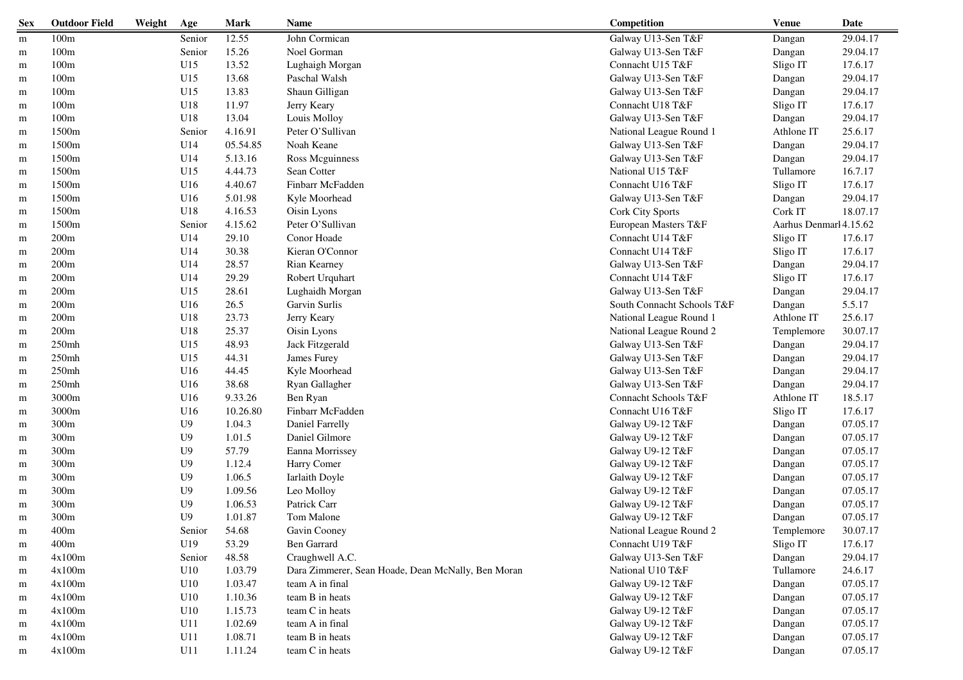| <b>Sex</b> | <b>Outdoor Field</b> | Weight | Age            | <b>Mark</b> | Name                                               | Competition                | <b>Venue</b>           | Date     |
|------------|----------------------|--------|----------------|-------------|----------------------------------------------------|----------------------------|------------------------|----------|
| m          | 100 <sub>m</sub>     |        | Senior         | 12.55       | John Cormican                                      | Galway U13-Sen T&F         | Dangan                 | 29.04.17 |
| m          | 100m                 |        | Senior         | 15.26       | Noel Gorman                                        | Galway U13-Sen T&F         | Dangan                 | 29.04.17 |
| m          | 100m                 |        | U15            | 13.52       | Lughaigh Morgan                                    | Connacht U15 T&F           | Sligo IT               | 17.6.17  |
| m          | 100m                 |        | U15            | 13.68       | Paschal Walsh                                      | Galway U13-Sen T&F         | Dangan                 | 29.04.17 |
| m          | 100m                 |        | U15            | 13.83       | Shaun Gilligan                                     | Galway U13-Sen T&F         | Dangan                 | 29.04.17 |
| m          | 100m                 |        | U18            | 11.97       | Jerry Keary                                        | Connacht U18 T&F           | Sligo IT               | 17.6.17  |
| m          | 100m                 |        | U18            | 13.04       | Louis Molloy                                       | Galway U13-Sen T&F         | Dangan                 | 29.04.17 |
| m          | 1500m                |        | Senior         | 4.16.91     | Peter O'Sullivan                                   | National League Round 1    | Athlone IT             | 25.6.17  |
| m          | 1500m                |        | U14            | 05.54.85    | Noah Keane                                         | Galway U13-Sen T&F         | Dangan                 | 29.04.17 |
| m          | 1500m                |        | U14            | 5.13.16     | Ross Mcguinness                                    | Galway U13-Sen T&F         | Dangan                 | 29.04.17 |
| m          | 1500m                |        | U15            | 4.44.73     | Sean Cotter                                        | National U15 T&F           | Tullamore              | 16.7.17  |
| m          | 1500m                |        | U16            | 4.40.67     | Finbarr McFadden                                   | Connacht U16 T&F           | Sligo IT               | 17.6.17  |
| m          | 1500m                |        | U16            | 5.01.98     | Kyle Moorhead                                      | Galway U13-Sen T&F         | Dangan                 | 29.04.17 |
| m          | 1500m                |        | U18            | 4.16.53     | Oisin Lyons                                        | Cork City Sports           | Cork IT                | 18.07.17 |
| m          | 1500m                |        | Senior         | 4.15.62     | Peter O'Sullivan                                   | European Masters T&F       | Aarhus Denmarl 4.15.62 |          |
| m          | 200m                 |        | U14            | 29.10       | Conor Hoade                                        | Connacht U14 T&F           | Sligo IT               | 17.6.17  |
| m          | 200m                 |        | U14            | 30.38       | Kieran O'Connor                                    | Connacht U14 T&F           | Sligo IT               | 17.6.17  |
| m          | 200m                 |        | U14            | 28.57       | Rian Kearney                                       | Galway U13-Sen T&F         | Dangan                 | 29.04.17 |
| m          | 200m                 |        | U14            | 29.29       | Robert Urquhart                                    | Connacht U14 T&F           | Sligo IT               | 17.6.17  |
| m          | 200m                 |        | U15            | 28.61       | Lughaidh Morgan                                    | Galway U13-Sen T&F         | Dangan                 | 29.04.17 |
| m          | 200m                 |        | U16            | 26.5        | Garvin Surlis                                      | South Connacht Schools T&F | Dangan                 | 5.5.17   |
| m          | 200m                 |        | U18            | 23.73       | Jerry Keary                                        | National League Round 1    | Athlone IT             | 25.6.17  |
| m          | 200m                 |        | U18            | 25.37       | Oisin Lyons                                        | National League Round 2    | Templemore             | 30.07.17 |
| m          | 250mh                |        | U15            | 48.93       | Jack Fitzgerald                                    | Galway U13-Sen T&F         | Dangan                 | 29.04.17 |
| m          | 250mh                |        | U15            | 44.31       | James Furey                                        | Galway U13-Sen T&F         | Dangan                 | 29.04.17 |
| m          | 250mh                |        | U16            | 44.45       | Kyle Moorhead                                      | Galway U13-Sen T&F         | Dangan                 | 29.04.17 |
| m          | 250mh                |        | U16            | 38.68       | Ryan Gallagher                                     | Galway U13-Sen T&F         | Dangan                 | 29.04.17 |
| m          | 3000m                |        | U16            | 9.33.26     | Ben Ryan                                           | Connacht Schools T&F       | Athlone IT             | 18.5.17  |
| m          | 3000m                |        | U16            | 10.26.80    | Finbarr McFadden                                   | Connacht U16 T&F           | Sligo IT               | 17.6.17  |
| m          | 300m                 |        | U9             | 1.04.3      | Daniel Farrelly                                    | Galway U9-12 T&F           | Dangan                 | 07.05.17 |
| m          | 300m                 |        | U9             | 1.01.5      | Daniel Gilmore                                     | Galway U9-12 T&F           | Dangan                 | 07.05.17 |
| m          | 300m                 |        | U9             | 57.79       | Eanna Morrissey                                    | Galway U9-12 T&F           | Dangan                 | 07.05.17 |
| m          | 300m                 |        | U9             | 1.12.4      | Harry Comer                                        | Galway U9-12 T&F           | Dangan                 | 07.05.17 |
| m          | 300m                 |        | U9             | 1.06.5      | Iarlaith Doyle                                     | Galway U9-12 T&F           | Dangan                 | 07.05.17 |
| m          | 300m                 |        | U9             | 1.09.56     | Leo Molloy                                         | Galway U9-12 T&F           | Dangan                 | 07.05.17 |
| m          | 300m                 |        | U9             | 1.06.53     | Patrick Carr                                       | Galway U9-12 T&F           | Dangan                 | 07.05.17 |
| m          | 300m                 |        | U <sub>9</sub> | 1.01.87     | Tom Malone                                         | Galway U9-12 T&F           | Dangan                 | 07.05.17 |
| m          | 400m                 |        | Senior         | 54.68       | Gavin Cooney                                       | National League Round 2    | Templemore             | 30.07.17 |
| m          | 400m                 |        | U19            | 53.29       | Ben Garrard                                        | Connacht U19 T&F           | Sligo IT               | 17.6.17  |
| m          | 4x100m               |        | Senior         | 48.58       | Craughwell A.C.                                    | Galway U13-Sen T&F         | Dangan                 | 29.04.17 |
| m          | 4x100m               |        | U10            | 1.03.79     | Dara Zimmerer, Sean Hoade, Dean McNally, Ben Moran | National U10 T&F           | Tullamore              | 24.6.17  |
| m          | 4x100m               |        | U10            | 1.03.47     | team A in final                                    | Galway U9-12 T&F           | Dangan                 | 07.05.17 |
| m          | 4x100m               |        | U10            | 1.10.36     | team B in heats                                    | Galway U9-12 T&F           | Dangan                 | 07.05.17 |
| m          | 4x100m               |        | U10            | 1.15.73     | team C in heats                                    | Galway U9-12 T&F           | Dangan                 | 07.05.17 |
| m          | 4x100m               |        | U11            | 1.02.69     | team A in final                                    | Galway U9-12 T&F           | Dangan                 | 07.05.17 |
| m          | 4x100m               |        | U11            | 1.08.71     | team B in heats                                    | Galway U9-12 T&F           | Dangan                 | 07.05.17 |
| m          | 4x100m               |        | U11            | 1.11.24     | team C in heats                                    | Galway U9-12 T&F           | Dangan                 | 07.05.17 |
|            |                      |        |                |             |                                                    |                            |                        |          |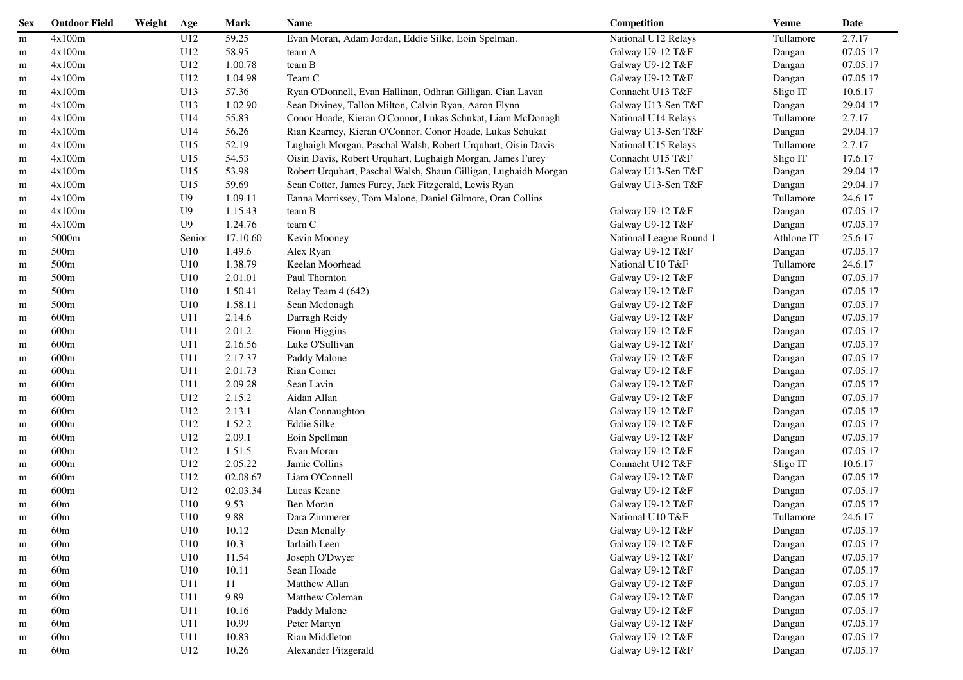| <b>Sex</b> | <b>Outdoor Field</b> | Weight | Age            | <b>Mark</b> | Name                                                            | Competition             | <b>Venue</b> | Date     |
|------------|----------------------|--------|----------------|-------------|-----------------------------------------------------------------|-------------------------|--------------|----------|
| m          | 4x100m               |        | U12            | 59.25       | Evan Moran, Adam Jordan, Eddie Silke, Eoin Spelman.             | National U12 Relays     | Tullamore    | 2.7.17   |
| m          | 4x100m               |        | U12            | 58.95       | team A                                                          | Galway U9-12 T&F        | Dangan       | 07.05.17 |
| m          | 4x100m               |        | U12            | 1.00.78     | team B                                                          | Galway U9-12 T&F        | Dangan       | 07.05.17 |
| m          | 4x100m               |        | U12            | 1.04.98     | Team C                                                          | Galway U9-12 T&F        | Dangan       | 07.05.17 |
| m          | 4x100m               |        | U13            | 57.36       | Ryan O'Donnell, Evan Hallinan, Odhran Gilligan, Cian Lavan      | Connacht U13 T&F        | Sligo IT     | 10.6.17  |
| m          | 4x100m               |        | U13            | 1.02.90     | Sean Diviney, Tallon Milton, Calvin Ryan, Aaron Flynn           | Galway U13-Sen T&F      | Dangan       | 29.04.17 |
| m          | 4x100m               |        | U14            | 55.83       | Conor Hoade, Kieran O'Connor, Lukas Schukat, Liam McDonagh      | National U14 Relays     | Tullamore    | 2.7.17   |
| m          | 4x100m               |        | U14            | 56.26       | Rian Kearney, Kieran O'Connor, Conor Hoade, Lukas Schukat       | Galway U13-Sen T&F      | Dangan       | 29.04.17 |
| m          | 4x100m               |        | U15            | 52.19       | Lughaigh Morgan, Paschal Walsh, Robert Urquhart, Oisin Davis    | National U15 Relays     | Tullamore    | 2.7.17   |
| m          | 4x100m               |        | U15            | 54.53       | Oisin Davis, Robert Urquhart, Lughaigh Morgan, James Furey      | Connacht U15 T&F        | Sligo IT     | 17.6.17  |
| m          | 4x100m               |        | U15            | 53.98       | Robert Urquhart, Paschal Walsh, Shaun Gilligan, Lughaidh Morgan | Galway U13-Sen T&F      | Dangan       | 29.04.17 |
| m          | 4x100m               |        | U15            | 59.69       | Sean Cotter, James Furey, Jack Fitzgerald, Lewis Ryan           | Galway U13-Sen T&F      | Dangan       | 29.04.17 |
| m          | 4x100m               |        | U <sub>9</sub> | 1.09.11     | Eanna Morrissey, Tom Malone, Daniel Gilmore, Oran Collins       |                         | Tullamore    | 24.6.17  |
| m          | 4x100m               |        | U9             | 1.15.43     | team B                                                          | Galway U9-12 T&F        | Dangan       | 07.05.17 |
| m          | 4x100m               |        | U <sub>9</sub> | 1.24.76     | team C                                                          | Galway U9-12 T&F        | Dangan       | 07.05.17 |
| m          | 5000m                |        | Senior         | 17.10.60    | Kevin Mooney                                                    | National League Round 1 | Athlone IT   | 25.6.17  |
| m          | 500m                 |        | U10            | 1.49.6      | Alex Ryan                                                       | Galway U9-12 T&F        | Dangan       | 07.05.17 |
| m          | 500m                 |        | U10            | 1.38.79     | Keelan Moorhead                                                 | National U10 T&F        | Tullamore    | 24.6.17  |
| m          | 500m                 |        | U10            | 2.01.01     | Paul Thornton                                                   | Galway U9-12 T&F        | Dangan       | 07.05.17 |
| m          | 500m                 |        | U10            | 1.50.41     | Relay Team 4 (642)                                              | Galway U9-12 T&F        | Dangan       | 07.05.17 |
| m          | 500m                 |        | U10            | 1.58.11     | Sean Mcdonagh                                                   | Galway U9-12 T&F        | Dangan       | 07.05.17 |
| m          | 600m                 |        | U11            | 2.14.6      | Darragh Reidy                                                   | Galway U9-12 T&F        | Dangan       | 07.05.17 |
| m          | 600m                 |        | U11            | 2.01.2      | Fionn Higgins                                                   | Galway U9-12 T&F        | Dangan       | 07.05.17 |
| m          | 600m                 |        | U11            | 2.16.56     | Luke O'Sullivan                                                 | Galway U9-12 T&F        | Dangan       | 07.05.17 |
| m          | 600m                 |        | U11            | 2.17.37     | Paddy Malone                                                    | Galway U9-12 T&F        | Dangan       | 07.05.17 |
| m          | 600m                 |        | U11            | 2.01.73     | Rian Comer                                                      | Galway U9-12 T&F        | Dangan       | 07.05.17 |
| m          | 600m                 |        | U11            | 2.09.28     | Sean Lavin                                                      | Galway U9-12 T&F        | Dangan       | 07.05.17 |
| m          | 600m                 |        | U12            | 2.15.2      | Aidan Allan                                                     | Galway U9-12 T&F        | Dangan       | 07.05.17 |
| m          | 600m                 |        | U12            | 2.13.1      | Alan Connaughton                                                | Galway U9-12 T&F        | Dangan       | 07.05.17 |
| m          | 600m                 |        | U12            | 1.52.2      | Eddie Silke                                                     | Galway U9-12 T&F        | Dangan       | 07.05.17 |
| m          | 600m                 |        | U12            | 2.09.1      | Eoin Spellman                                                   | Galway U9-12 T&F        | Dangan       | 07.05.17 |
| m          | 600m                 |        | U12            | 1.51.5      | Evan Moran                                                      | Galway U9-12 T&F        | Dangan       | 07.05.17 |
| m          | 600m                 |        | U12            | 2.05.22     | Jamie Collins                                                   | Connacht U12 T&F        | Sligo IT     | 10.6.17  |
| m          | 600m                 |        | U12            | 02.08.67    | Liam O'Connell                                                  | Galway U9-12 T&F        | Dangan       | 07.05.17 |
| m          | 600m                 |        | U12            | 02.03.34    | Lucas Keane                                                     | Galway U9-12 T&F        | Dangan       | 07.05.17 |
| m          | 60m                  |        | U10            | 9.53        | Ben Moran                                                       | Galway U9-12 T&F        | Dangan       | 07.05.17 |
| m          | 60m                  |        | U10            | 9.88        | Dara Zimmerer                                                   | National U10 T&F        | Tullamore    | 24.6.17  |
| m          | 60m                  |        | U10            | 10.12       | Dean Mcnally                                                    | Galway U9-12 T&F        | Dangan       | 07.05.17 |
| m          | 60m                  |        | U10            | 10.3        | Iarlaith Leen                                                   | Galway U9-12 T&F        | Dangan       | 07.05.17 |
| m          | 60m                  |        | U10            | 11.54       | Joseph O'Dwyer                                                  | Galway U9-12 T&F        | Dangan       | 07.05.17 |
| m          | 60 <sub>m</sub>      |        | U10            | 10.11       | Sean Hoade                                                      | Galway U9-12 T&F        | Dangan       | 07.05.17 |
| m          | 60m                  |        | U11            | 11          | Matthew Allan                                                   | Galway U9-12 T&F        | Dangan       | 07.05.17 |
| m          | 60m                  |        | U11            | 9.89        | Matthew Coleman                                                 | Galway U9-12 T&F        | Dangan       | 07.05.17 |
| m          | 60 <sub>m</sub>      |        | U11            | 10.16       | Paddy Malone                                                    | Galway U9-12 T&F        | Dangan       | 07.05.17 |
| m          | 60 <sub>m</sub>      |        | U11            | 10.99       | Peter Martyn                                                    | Galway U9-12 T&F        | Dangan       | 07.05.17 |
| m          | 60m                  |        | U11            | 10.83       | Rian Middleton                                                  | Galway U9-12 T&F        | Dangan       | 07.05.17 |
| m          | 60m                  |        | U12            | 10.26       | Alexander Fitzgerald                                            | Galway U9-12 T&F        | Dangan       | 07.05.17 |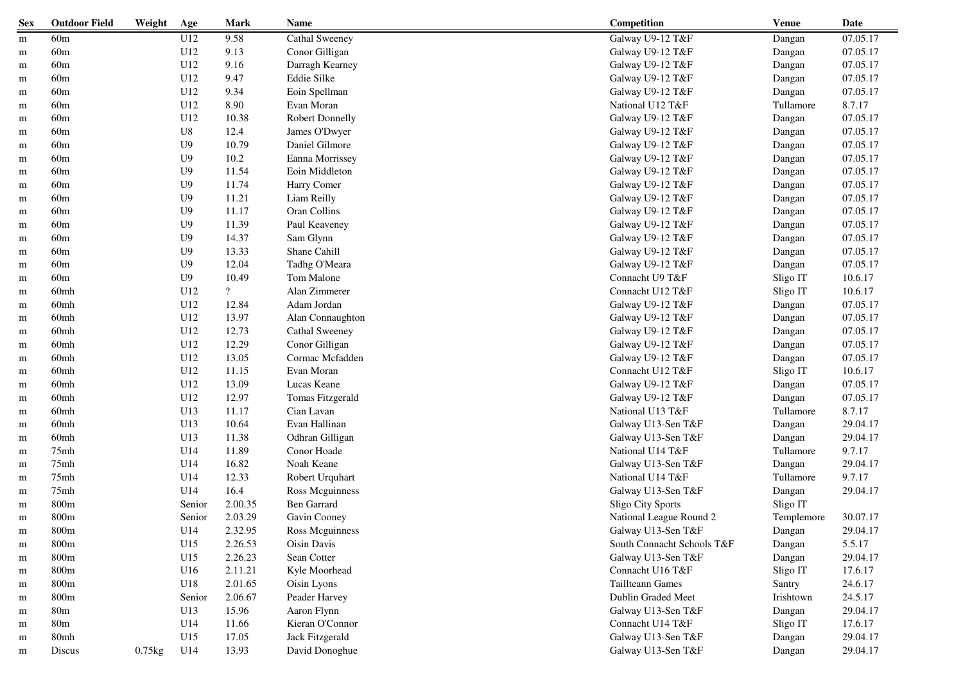| <b>Sex</b> | <b>Outdoor Field</b> | Weight      | Age            | <b>Mark</b>              | Name                   | Competition                | <b>Venue</b> | Date     |
|------------|----------------------|-------------|----------------|--------------------------|------------------------|----------------------------|--------------|----------|
| m          | 60m                  |             | U12            | 9.58                     | Cathal Sweeney         | Galway U9-12 T&F           | Dangan       | 07.05.17 |
| m          | 60m                  |             | U12            | 9.13                     | Conor Gilligan         | Galway U9-12 T&F           | Dangan       | 07.05.17 |
| m          | 60m                  |             | U12            | 9.16                     | Darragh Kearney        | Galway U9-12 T&F           | Dangan       | 07.05.17 |
| m          | 60m                  |             | U12            | 9.47                     | Eddie Silke            | Galway U9-12 T&F           | Dangan       | 07.05.17 |
| m          | 60m                  |             | U12            | 9.34                     | Eoin Spellman          | Galway U9-12 T&F           | Dangan       | 07.05.17 |
| m          | 60m                  |             | U12            | 8.90                     | Evan Moran             | National U12 T&F           | Tullamore    | 8.7.17   |
| m          | 60m                  |             | U12            | 10.38                    | <b>Robert Donnelly</b> | Galway U9-12 T&F           | Dangan       | 07.05.17 |
| m          | 60m                  |             | U8             | 12.4                     | James O'Dwyer          | Galway U9-12 T&F           | Dangan       | 07.05.17 |
| m          | 60m                  |             | U9             | 10.79                    | Daniel Gilmore         | Galway U9-12 T&F           | Dangan       | 07.05.17 |
| m          | 60m                  |             | U <sub>9</sub> | 10.2                     | Eanna Morrissey        | Galway U9-12 T&F           | Dangan       | 07.05.17 |
| m          | 60m                  |             | U <sub>9</sub> | 11.54                    | Eoin Middleton         | Galway U9-12 T&F           | Dangan       | 07.05.17 |
| m          | 60m                  |             | U <sub>9</sub> | 11.74                    | Harry Comer            | Galway U9-12 T&F           | Dangan       | 07.05.17 |
| m          | 60m                  |             | U <sub>9</sub> | 11.21                    | Liam Reilly            | Galway U9-12 T&F           | Dangan       | 07.05.17 |
| m          | 60m                  |             | U9             | 11.17                    | Oran Collins           | Galway U9-12 T&F           | Dangan       | 07.05.17 |
| m          | 60m                  |             | U <sub>9</sub> | 11.39                    | Paul Keaveney          | Galway U9-12 T&F           | Dangan       | 07.05.17 |
| m          | $60\mathrm{m}$       |             | U <sub>9</sub> | 14.37                    | Sam Glynn              | Galway U9-12 T&F           | Dangan       | 07.05.17 |
| m          | 60m                  |             | U <sub>9</sub> | 13.33                    | Shane Cahill           | Galway U9-12 T&F           | Dangan       | 07.05.17 |
| m          | 60m                  |             | U <sub>9</sub> | 12.04                    | Tadhg O'Meara          | Galway U9-12 T&F           | Dangan       | 07.05.17 |
| m          | 60m                  |             | U <sub>9</sub> | 10.49                    | Tom Malone             | Connacht U9 T&F            | Sligo IT     | 10.6.17  |
| m          | 60mh                 |             | U12            | $\overline{\mathcal{L}}$ | Alan Zimmerer          | Connacht U12 T&F           | Sligo IT     | 10.6.17  |
| m          | 60 <sub>mh</sub>     |             | U12            | 12.84                    | Adam Jordan            | Galway U9-12 T&F           | Dangan       | 07.05.17 |
| m          | 60 <sub>mh</sub>     |             | U12            | 13.97                    | Alan Connaughton       | Galway U9-12 T&F           | Dangan       | 07.05.17 |
| m          | 60 <sub>mh</sub>     |             | U12            | 12.73                    | Cathal Sweeney         | Galway U9-12 T&F           | Dangan       | 07.05.17 |
| m          | 60 <sub>mh</sub>     |             | U12            | 12.29                    | Conor Gilligan         | Galway U9-12 T&F           | Dangan       | 07.05.17 |
| m          | 60 <sub>mh</sub>     |             | U12            | 13.05                    | Cormac Mcfadden        | Galway U9-12 T&F           | Dangan       | 07.05.17 |
| m          | 60 <sub>mh</sub>     |             | U12            | 11.15                    | Evan Moran             | Connacht U12 T&F           | Sligo IT     | 10.6.17  |
| m          | 60 <sub>mh</sub>     |             | U12            | 13.09                    | Lucas Keane            | Galway U9-12 T&F           | Dangan       | 07.05.17 |
| m          | 60 <sub>mh</sub>     |             | U12            | 12.97                    | Tomas Fitzgerald       | Galway U9-12 T&F           | Dangan       | 07.05.17 |
| m          | 60mh                 |             | U13            | 11.17                    | Cian Lavan             | National U13 T&F           | Tullamore    | 8.7.17   |
| m          | 60mh                 |             | U13            | 10.64                    | Evan Hallinan          | Galway U13-Sen T&F         | Dangan       | 29.04.17 |
| m          | 60mh                 |             | U13            | 11.38                    | Odhran Gilligan        | Galway U13-Sen T&F         | Dangan       | 29.04.17 |
| m          | 75mh                 |             | U14            | 11.89                    | Conor Hoade            | National U14 T&F           | Tullamore    | 9.7.17   |
| m          | 75mh                 |             | U14            | 16.82                    | Noah Keane             | Galway U13-Sen T&F         | Dangan       | 29.04.17 |
| m          | 75mh                 |             | U14            | 12.33                    | Robert Urquhart        | National U14 T&F           | Tullamore    | 9.7.17   |
| m          | 75mh                 |             | U14            | 16.4                     | Ross Mcguinness        | Galway U13-Sen T&F         | Dangan       | 29.04.17 |
| m          | 800m                 |             | Senior         | 2.00.35                  | <b>Ben Garrard</b>     | Sligo City Sports          | Sligo IT     |          |
| m          | 800m                 |             | Senior         | 2.03.29                  | Gavin Cooney           | National League Round 2    | Templemore   | 30.07.17 |
| m          | $800\mathrm{m}$      |             | U14            | 2.32.95                  | Ross Mcguinness        | Galway U13-Sen T&F         | Dangan       | 29.04.17 |
| m          | 800m                 |             | U15            | 2.26.53                  | Oisin Davis            | South Connacht Schools T&F | Dangan       | 5.5.17   |
| m          | 800m                 |             | U15            | 2.26.23                  | Sean Cotter            | Galway U13-Sen T&F         | Dangan       | 29.04.17 |
| m          | 800m                 |             | U16            | 2.11.21                  | Kyle Moorhead          | Connacht U16 T&F           | Sligo IT     | 17.6.17  |
| m          | 800m                 |             | U18            | 2.01.65                  | Oisin Lyons            | Taillteann Games           | Santry       | 24.6.17  |
| m          | 800m                 |             | Senior         | 2.06.67                  | Peader Harvey          | Dublin Graded Meet         | Irishtown    | 24.5.17  |
| m          | 80 <sub>m</sub>      |             | U13            | 15.96                    | Aaron Flynn            | Galway U13-Sen T&F         | Dangan       | 29.04.17 |
| m          | 80 <sub>m</sub>      |             | U14            | 11.66                    | Kieran O'Connor        | Connacht U14 T&F           | Sligo IT     | 17.6.17  |
| m          | 80mh                 |             | U15            | 17.05                    | Jack Fitzgerald        | Galway U13-Sen T&F         | Dangan       | 29.04.17 |
| m          | Discus               | $0.75$ $kg$ | U14            | 13.93                    | David Donoghue         | Galway U13-Sen T&F         | Dangan       | 29.04.17 |
|            |                      |             |                |                          |                        |                            |              |          |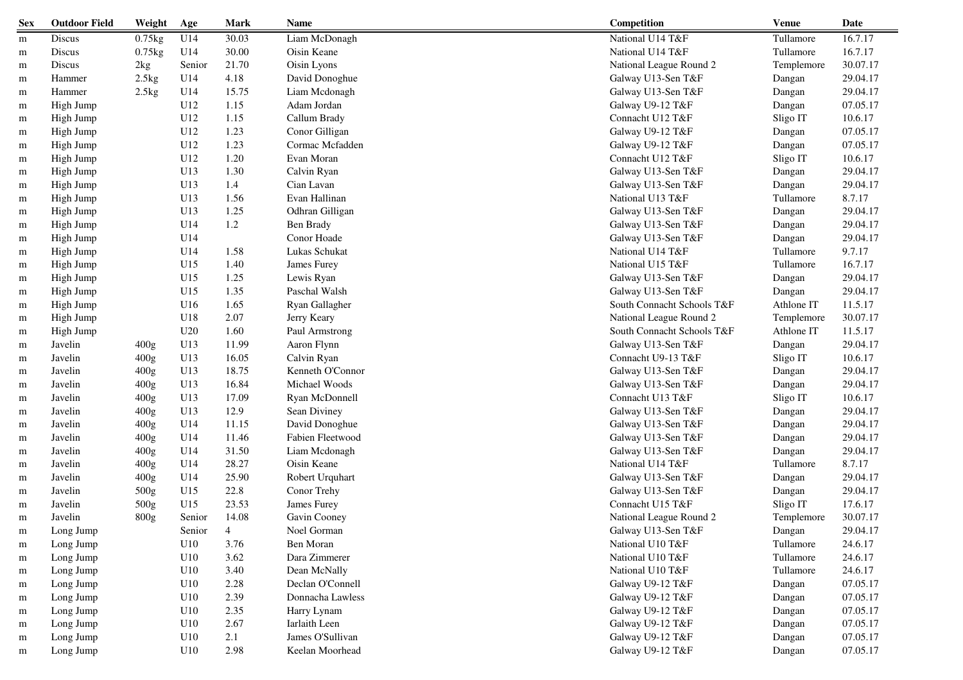| <b>Sex</b> | <b>Outdoor Field</b> | Weight    | Age    | <b>Mark</b>    | Name             | Competition                | <b>Venue</b> | Date     |
|------------|----------------------|-----------|--------|----------------|------------------|----------------------------|--------------|----------|
| m          | Discus               | $0.75$ kg | U14    | 30.03          | Liam McDonagh    | National U14 T&F           | Tullamore    | 16.7.17  |
| m          | Discus               | $0.75$ kg | U14    | 30.00          | Oisin Keane      | National U14 T&F           | Tullamore    | 16.7.17  |
| m          | Discus               | 2kg       | Senior | 21.70          | Oisin Lyons      | National League Round 2    | Templemore   | 30.07.17 |
| m          | Hammer               | 2.5kg     | U14    | 4.18           | David Donoghue   | Galway U13-Sen T&F         | Dangan       | 29.04.17 |
| m          | Hammer               | 2.5kg     | U14    | 15.75          | Liam Mcdonagh    | Galway U13-Sen T&F         | Dangan       | 29.04.17 |
| m          | High Jump            |           | U12    | 1.15           | Adam Jordan      | Galway U9-12 T&F           | Dangan       | 07.05.17 |
| m          | High Jump            |           | U12    | 1.15           | Callum Brady     | Connacht U12 T&F           | Sligo IT     | 10.6.17  |
| m          | High Jump            |           | U12    | 1.23           | Conor Gilligan   | Galway U9-12 T&F           | Dangan       | 07.05.17 |
| m          | High Jump            |           | U12    | 1.23           | Cormac Mcfadden  | Galway U9-12 T&F           | Dangan       | 07.05.17 |
| m          | High Jump            |           | U12    | 1.20           | Evan Moran       | Connacht U12 T&F           | Sligo IT     | 10.6.17  |
| m          | High Jump            |           | U13    | 1.30           | Calvin Ryan      | Galway U13-Sen T&F         | Dangan       | 29.04.17 |
| m          | High Jump            |           | U13    | 1.4            | Cian Lavan       | Galway U13-Sen T&F         | Dangan       | 29.04.17 |
| m          | High Jump            |           | U13    | 1.56           | Evan Hallinan    | National U13 T&F           | Tullamore    | 8.7.17   |
| m          | High Jump            |           | U13    | 1.25           | Odhran Gilligan  | Galway U13-Sen T&F         | Dangan       | 29.04.17 |
| m          | High Jump            |           | U14    | 1.2            | Ben Brady        | Galway U13-Sen T&F         | Dangan       | 29.04.17 |
| m          | High Jump            |           | U14    |                | Conor Hoade      | Galway U13-Sen T&F         | Dangan       | 29.04.17 |
| m          | High Jump            |           | U14    | 1.58           | Lukas Schukat    | National U14 T&F           | Tullamore    | 9.7.17   |
| m          | High Jump            |           | U15    | 1.40           | James Furey      | National U15 T&F           | Tullamore    | 16.7.17  |
| m          | High Jump            |           | U15    | 1.25           | Lewis Ryan       | Galway U13-Sen T&F         | Dangan       | 29.04.17 |
| m          | High Jump            |           | U15    | 1.35           | Paschal Walsh    | Galway U13-Sen T&F         | Dangan       | 29.04.17 |
| m          | High Jump            |           | U16    | 1.65           | Ryan Gallagher   | South Connacht Schools T&F | Athlone IT   | 11.5.17  |
| m          | High Jump            |           | U18    | 2.07           | Jerry Keary      | National League Round 2    | Templemore   | 30.07.17 |
| m          | High Jump            |           | U20    | 1.60           | Paul Armstrong   | South Connacht Schools T&F | Athlone IT   | 11.5.17  |
| m          | Javelin              | 400g      | U13    | 11.99          | Aaron Flynn      | Galway U13-Sen T&F         | Dangan       | 29.04.17 |
| m          | Javelin              | 400g      | U13    | 16.05          | Calvin Ryan      | Connacht U9-13 T&F         | Sligo IT     | 10.6.17  |
| m          | Javelin              | 400g      | U13    | 18.75          | Kenneth O'Connor | Galway U13-Sen T&F         | Dangan       | 29.04.17 |
| m          | Javelin              | 400g      | U13    | 16.84          | Michael Woods    | Galway U13-Sen T&F         | Dangan       | 29.04.17 |
| m          | Javelin              | 400g      | U13    | 17.09          | Ryan McDonnell   | Connacht U13 T&F           | Sligo IT     | 10.6.17  |
| m          | Javelin              | 400g      | U13    | 12.9           | Sean Diviney     | Galway U13-Sen T&F         | Dangan       | 29.04.17 |
| m          | Javelin              | 400g      | U14    | 11.15          | David Donoghue   | Galway U13-Sen T&F         | Dangan       | 29.04.17 |
| m          | Javelin              | 400g      | U14    | 11.46          | Fabien Fleetwood | Galway U13-Sen T&F         | Dangan       | 29.04.17 |
| m          | Javelin              | 400g      | U14    | 31.50          | Liam Mcdonagh    | Galway U13-Sen T&F         | Dangan       | 29.04.17 |
| m          | Javelin              | 400g      | U14    | 28.27          | Oisin Keane      | National U14 T&F           | Tullamore    | 8.7.17   |
| m          | Javelin              | 400g      | U14    | 25.90          | Robert Urquhart  | Galway U13-Sen T&F         | Dangan       | 29.04.17 |
| m          | Javelin              | 500g      | U15    | 22.8           | Conor Trehy      | Galway U13-Sen T&F         | Dangan       | 29.04.17 |
| m          | Javelin              | 500g      | U15    | 23.53          | James Furey      | Connacht U15 T&F           | Sligo IT     | 17.6.17  |
| m          | Javelin              | 800g      | Senior | 14.08          | Gavin Cooney     | National League Round 2    | Templemore   | 30.07.17 |
| m          | Long Jump            |           | Senior | $\overline{4}$ | Noel Gorman      | Galway U13-Sen T&F         | Dangan       | 29.04.17 |
| m          | Long Jump            |           | U10    | 3.76           | Ben Moran        | National U10 T&F           | Tullamore    | 24.6.17  |
| m          | Long Jump            |           | U10    | 3.62           | Dara Zimmerer    | National U10 T&F           | Tullamore    | 24.6.17  |
| m          | Long Jump            |           | U10    | 3.40           | Dean McNally     | National U10 T&F           | Tullamore    | 24.6.17  |
| m          | Long Jump            |           | U10    | 2.28           | Declan O'Connell | Galway U9-12 T&F           | Dangan       | 07.05.17 |
| m          | Long Jump            |           | U10    | 2.39           | Donnacha Lawless | Galway U9-12 T&F           | Dangan       | 07.05.17 |
| m          | Long Jump            |           | U10    | 2.35           | Harry Lynam      | Galway U9-12 T&F           | Dangan       | 07.05.17 |
| m          | Long Jump            |           | U10    | 2.67           | Iarlaith Leen    | Galway U9-12 T&F           | Dangan       | 07.05.17 |
| m          | Long Jump            |           | U10    | 2.1            | James O'Sullivan | Galway U9-12 T&F           | Dangan       | 07.05.17 |
| m          | Long Jump            |           | U10    | 2.98           | Keelan Moorhead  | Galway U9-12 T&F           | Dangan       | 07.05.17 |
|            |                      |           |        |                |                  |                            |              |          |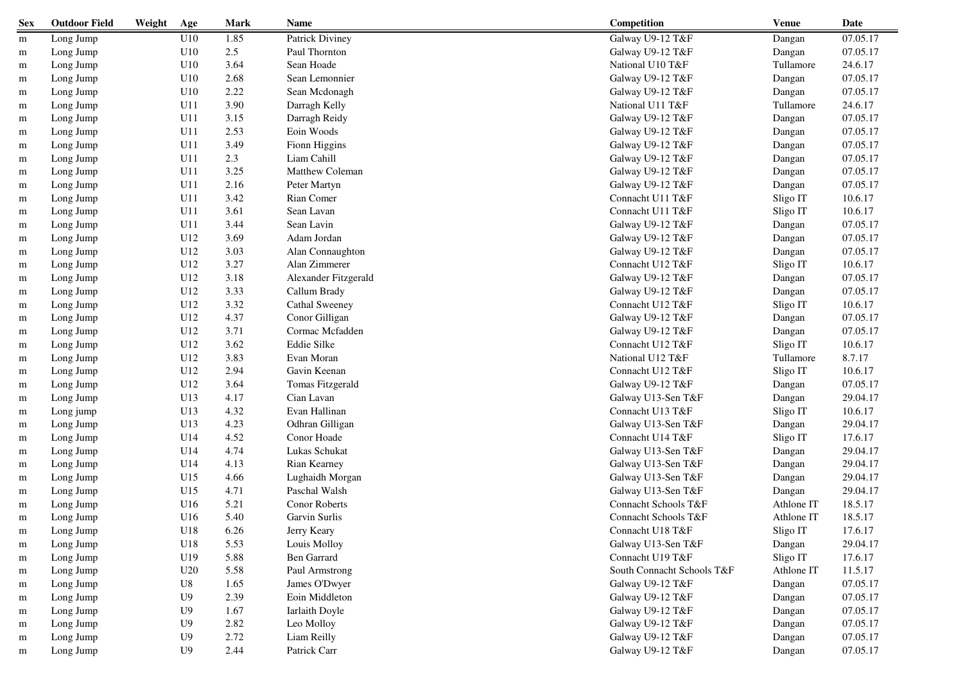| Galway U9-12 T&F<br>07.05.17<br>U10<br>1.85<br>Patrick Diviney<br>Long Jump<br>Dangan<br>m<br>U10<br>2.5<br>07.05.17<br>Paul Thornton<br>Galway U9-12 T&F<br>Long Jump<br>Dangan<br>m<br>Sean Hoade<br>24.6.17<br>U10<br>3.64<br>National U10 T&F<br>Tullamore<br>Long Jump<br>m<br>07.05.17<br>U10<br>2.68<br>Sean Lemonnier<br>Galway U9-12 T&F<br>Dangan<br>Long Jump<br>m<br>2.22<br>07.05.17<br>U10<br>Sean Mcdonagh<br>Long Jump<br>Galway U9-12 T&F<br>Dangan<br>m<br>3.90<br>24.6.17<br>Long Jump<br>U11<br>Darragh Kelly<br>National U11 T&F<br>Tullamore<br>m<br>07.05.17<br>U11<br>3.15<br>Darragh Reidy<br>Galway U9-12 T&F<br>Long Jump<br>Dangan<br>m<br>Eoin Woods<br>07.05.17<br>U11<br>2.53<br>Galway U9-12 T&F<br>Long Jump<br>Dangan<br>m<br>07.05.17<br>U11<br>3.49<br>Fionn Higgins<br>Galway U9-12 T&F<br>Long Jump<br>Dangan<br>m<br>2.3<br>Liam Cahill<br>07.05.17<br>U11<br>Galway U9-12 T&F<br>Long Jump<br>Dangan<br>m<br>3.25<br>Matthew Coleman<br>07.05.17<br>U11<br>Galway U9-12 T&F<br>Long Jump<br>Dangan<br>m<br>2.16<br>07.05.17<br>U11<br>Peter Martyn<br>Galway U9-12 T&F<br>Long Jump<br>Dangan<br>m<br>U11<br>3.42<br>Rian Comer<br>Connacht U11 T&F<br>Sligo IT<br>10.6.17<br>Long Jump<br>m<br>Sean Lavan<br>Connacht U11 T&F<br>10.6.17<br>U11<br>3.61<br>Sligo IT<br>Long Jump<br>m<br>3.44<br>Sean Lavin<br>Galway U9-12 T&F<br>07.05.17<br>U11<br>Long Jump<br>Dangan<br>m<br>U12<br>3.69<br>07.05.17<br>Adam Jordan<br>Galway U9-12 T&F<br>Long Jump<br>Dangan<br>m<br>07.05.17<br>U12<br>3.03<br>Alan Connaughton<br>Galway U9-12 T&F<br>Long Jump<br>Dangan<br>m<br>10.6.17<br>U12<br>3.27<br>Alan Zimmerer<br>Connacht U12 T&F<br>Sligo IT<br>Long Jump<br>m<br>07.05.17<br>U12<br>3.18<br>Alexander Fitzgerald<br>Galway U9-12 T&F<br>Long Jump<br>Dangan<br>m<br>07.05.17<br>U12<br>3.33<br>Callum Brady<br>Galway U9-12 T&F<br>Long Jump<br>Dangan<br>m<br>10.6.17<br>U12<br>3.32<br>Cathal Sweeney<br>Connacht U12 T&F<br>Sligo IT<br>Long Jump<br>m<br>Conor Gilligan<br>07.05.17<br>U12<br>4.37<br>Galway U9-12 T&F<br>Long Jump<br>Dangan<br>m<br>Cormac Mcfadden<br>07.05.17<br>U12<br>3.71<br>Galway U9-12 T&F<br>Long Jump<br>Dangan<br>m<br>Eddie Silke<br>10.6.17<br>U12<br>3.62<br>Connacht U12 T&F<br>Sligo IT<br>Long Jump<br>m<br>8.7.17<br>U12<br>3.83<br>Evan Moran<br>National U12 T&F<br>Tullamore<br>Long Jump<br>m<br>10.6.17<br>U12<br>2.94<br>Gavin Keenan<br>Sligo IT<br>Long Jump<br>Connacht U12 T&F<br>m<br>07.05.17<br>U12<br>3.64<br>Tomas Fitzgerald<br>Galway U9-12 T&F<br>Long Jump<br>Dangan<br>m<br>U13<br>29.04.17<br>4.17<br>Cian Lavan<br>Galway U13-Sen T&F<br>Long Jump<br>Dangan<br>m<br>4.32<br>Evan Hallinan<br>10.6.17<br>U13<br>Connacht U13 T&F<br>Sligo IT<br>Long jump<br>m<br>4.23<br>29.04.17<br>U13<br>Odhran Gilligan<br>Galway U13-Sen T&F<br>Long Jump<br>Dangan<br>m<br>U14<br>4.52<br>Connacht U14 T&F<br>17.6.17<br>Conor Hoade<br>Sligo IT<br>Long Jump<br>m<br>4.74<br>Lukas Schukat<br>29.04.17<br>U14<br>Galway U13-Sen T&F<br>Long Jump<br>Dangan<br>m<br>29.04.17<br>U14<br>4.13<br>Rian Kearney<br>Galway U13-Sen T&F<br>Long Jump<br>Dangan<br>m<br>29.04.17<br>U15<br>4.66<br>Lughaidh Morgan<br>Galway U13-Sen T&F<br>Long Jump<br>Dangan<br>m<br>Paschal Walsh<br>29.04.17<br>U15<br>4.71<br>Galway U13-Sen T&F<br>Long Jump<br>Dangan<br>m<br>Conor Roberts<br>Connacht Schools T&F<br>18.5.17<br>U16<br>5.21<br>Athlone IT<br>Long Jump<br>m<br>U16<br>5.40<br>Garvin Surlis<br>Connacht Schools T&F<br>18.5.17<br>Athlone IT<br>Long Jump<br>m<br>U18<br>6.26<br>Connacht U18 T&F<br>Sligo IT<br>17.6.17<br>Long Jump<br>Jerry Keary<br>m<br>29.04.17<br>U18<br>5.53<br>Louis Molloy<br>Galway U13-Sen T&F<br>Long Jump<br>Dangan<br>m<br>Ben Garrard<br>Connacht U19 T&F<br>Sligo IT<br>17.6.17<br>Long Jump<br>U19<br>5.88<br>m<br>11.5.17<br>U20<br>5.58<br>Paul Armstrong<br>South Connacht Schools T&F<br>Athlone IT<br>Long Jump<br>m<br>07.05.17<br>${\rm U}8$<br>1.65<br>James O'Dwyer<br>Galway U9-12 T&F<br>Dangan<br>Long Jump<br>m<br>Long Jump<br>U9<br>2.39<br>Eoin Middleton<br>Galway U9-12 T&F<br>Dangan<br>07.05.17<br>m<br>Galway U9-12 T&F<br>07.05.17<br>1.67<br>Iarlaith Doyle<br>Long Jump<br>U9<br>Dangan<br>m<br>2.82<br>Galway U9-12 T&F<br>Long Jump<br>U <sub>9</sub><br>Leo Molloy<br>Dangan<br>07.05.17<br>m<br>2.72<br>Galway U9-12 T&F<br>Long Jump<br>U <sub>9</sub><br>Liam Reilly<br>Dangan<br>07.05.17<br>m<br>2.44<br>Patrick Carr<br>Galway U9-12 T&F<br>07.05.17<br>Long Jump<br>U <sub>9</sub><br>Dangan<br>m | <b>Sex</b> | <b>Outdoor Field</b> | Weight | Age | <b>Mark</b> | Name | Competition | <b>Venue</b> | Date |
|-------------------------------------------------------------------------------------------------------------------------------------------------------------------------------------------------------------------------------------------------------------------------------------------------------------------------------------------------------------------------------------------------------------------------------------------------------------------------------------------------------------------------------------------------------------------------------------------------------------------------------------------------------------------------------------------------------------------------------------------------------------------------------------------------------------------------------------------------------------------------------------------------------------------------------------------------------------------------------------------------------------------------------------------------------------------------------------------------------------------------------------------------------------------------------------------------------------------------------------------------------------------------------------------------------------------------------------------------------------------------------------------------------------------------------------------------------------------------------------------------------------------------------------------------------------------------------------------------------------------------------------------------------------------------------------------------------------------------------------------------------------------------------------------------------------------------------------------------------------------------------------------------------------------------------------------------------------------------------------------------------------------------------------------------------------------------------------------------------------------------------------------------------------------------------------------------------------------------------------------------------------------------------------------------------------------------------------------------------------------------------------------------------------------------------------------------------------------------------------------------------------------------------------------------------------------------------------------------------------------------------------------------------------------------------------------------------------------------------------------------------------------------------------------------------------------------------------------------------------------------------------------------------------------------------------------------------------------------------------------------------------------------------------------------------------------------------------------------------------------------------------------------------------------------------------------------------------------------------------------------------------------------------------------------------------------------------------------------------------------------------------------------------------------------------------------------------------------------------------------------------------------------------------------------------------------------------------------------------------------------------------------------------------------------------------------------------------------------------------------------------------------------------------------------------------------------------------------------------------------------------------------------------------------------------------------------------------------------------------------------------------------------------------------------------------------------------------------------------------------------------------------------------------------------------------------------------------------------------------------------------------------------------------------------------------------------------------------------------------------------------------------------------------------------------------------------------------------------------------------------------------------------------------------------------------------------------|------------|----------------------|--------|-----|-------------|------|-------------|--------------|------|
|                                                                                                                                                                                                                                                                                                                                                                                                                                                                                                                                                                                                                                                                                                                                                                                                                                                                                                                                                                                                                                                                                                                                                                                                                                                                                                                                                                                                                                                                                                                                                                                                                                                                                                                                                                                                                                                                                                                                                                                                                                                                                                                                                                                                                                                                                                                                                                                                                                                                                                                                                                                                                                                                                                                                                                                                                                                                                                                                                                                                                                                                                                                                                                                                                                                                                                                                                                                                                                                                                                                                                                                                                                                                                                                                                                                                                                                                                                                                                                                                                                                                                                                                                                                                                                                                                                                                                                                                                                                                                                                                                                               |            |                      |        |     |             |      |             |              |      |
|                                                                                                                                                                                                                                                                                                                                                                                                                                                                                                                                                                                                                                                                                                                                                                                                                                                                                                                                                                                                                                                                                                                                                                                                                                                                                                                                                                                                                                                                                                                                                                                                                                                                                                                                                                                                                                                                                                                                                                                                                                                                                                                                                                                                                                                                                                                                                                                                                                                                                                                                                                                                                                                                                                                                                                                                                                                                                                                                                                                                                                                                                                                                                                                                                                                                                                                                                                                                                                                                                                                                                                                                                                                                                                                                                                                                                                                                                                                                                                                                                                                                                                                                                                                                                                                                                                                                                                                                                                                                                                                                                                               |            |                      |        |     |             |      |             |              |      |
|                                                                                                                                                                                                                                                                                                                                                                                                                                                                                                                                                                                                                                                                                                                                                                                                                                                                                                                                                                                                                                                                                                                                                                                                                                                                                                                                                                                                                                                                                                                                                                                                                                                                                                                                                                                                                                                                                                                                                                                                                                                                                                                                                                                                                                                                                                                                                                                                                                                                                                                                                                                                                                                                                                                                                                                                                                                                                                                                                                                                                                                                                                                                                                                                                                                                                                                                                                                                                                                                                                                                                                                                                                                                                                                                                                                                                                                                                                                                                                                                                                                                                                                                                                                                                                                                                                                                                                                                                                                                                                                                                                               |            |                      |        |     |             |      |             |              |      |
|                                                                                                                                                                                                                                                                                                                                                                                                                                                                                                                                                                                                                                                                                                                                                                                                                                                                                                                                                                                                                                                                                                                                                                                                                                                                                                                                                                                                                                                                                                                                                                                                                                                                                                                                                                                                                                                                                                                                                                                                                                                                                                                                                                                                                                                                                                                                                                                                                                                                                                                                                                                                                                                                                                                                                                                                                                                                                                                                                                                                                                                                                                                                                                                                                                                                                                                                                                                                                                                                                                                                                                                                                                                                                                                                                                                                                                                                                                                                                                                                                                                                                                                                                                                                                                                                                                                                                                                                                                                                                                                                                                               |            |                      |        |     |             |      |             |              |      |
|                                                                                                                                                                                                                                                                                                                                                                                                                                                                                                                                                                                                                                                                                                                                                                                                                                                                                                                                                                                                                                                                                                                                                                                                                                                                                                                                                                                                                                                                                                                                                                                                                                                                                                                                                                                                                                                                                                                                                                                                                                                                                                                                                                                                                                                                                                                                                                                                                                                                                                                                                                                                                                                                                                                                                                                                                                                                                                                                                                                                                                                                                                                                                                                                                                                                                                                                                                                                                                                                                                                                                                                                                                                                                                                                                                                                                                                                                                                                                                                                                                                                                                                                                                                                                                                                                                                                                                                                                                                                                                                                                                               |            |                      |        |     |             |      |             |              |      |
|                                                                                                                                                                                                                                                                                                                                                                                                                                                                                                                                                                                                                                                                                                                                                                                                                                                                                                                                                                                                                                                                                                                                                                                                                                                                                                                                                                                                                                                                                                                                                                                                                                                                                                                                                                                                                                                                                                                                                                                                                                                                                                                                                                                                                                                                                                                                                                                                                                                                                                                                                                                                                                                                                                                                                                                                                                                                                                                                                                                                                                                                                                                                                                                                                                                                                                                                                                                                                                                                                                                                                                                                                                                                                                                                                                                                                                                                                                                                                                                                                                                                                                                                                                                                                                                                                                                                                                                                                                                                                                                                                                               |            |                      |        |     |             |      |             |              |      |
|                                                                                                                                                                                                                                                                                                                                                                                                                                                                                                                                                                                                                                                                                                                                                                                                                                                                                                                                                                                                                                                                                                                                                                                                                                                                                                                                                                                                                                                                                                                                                                                                                                                                                                                                                                                                                                                                                                                                                                                                                                                                                                                                                                                                                                                                                                                                                                                                                                                                                                                                                                                                                                                                                                                                                                                                                                                                                                                                                                                                                                                                                                                                                                                                                                                                                                                                                                                                                                                                                                                                                                                                                                                                                                                                                                                                                                                                                                                                                                                                                                                                                                                                                                                                                                                                                                                                                                                                                                                                                                                                                                               |            |                      |        |     |             |      |             |              |      |
|                                                                                                                                                                                                                                                                                                                                                                                                                                                                                                                                                                                                                                                                                                                                                                                                                                                                                                                                                                                                                                                                                                                                                                                                                                                                                                                                                                                                                                                                                                                                                                                                                                                                                                                                                                                                                                                                                                                                                                                                                                                                                                                                                                                                                                                                                                                                                                                                                                                                                                                                                                                                                                                                                                                                                                                                                                                                                                                                                                                                                                                                                                                                                                                                                                                                                                                                                                                                                                                                                                                                                                                                                                                                                                                                                                                                                                                                                                                                                                                                                                                                                                                                                                                                                                                                                                                                                                                                                                                                                                                                                                               |            |                      |        |     |             |      |             |              |      |
|                                                                                                                                                                                                                                                                                                                                                                                                                                                                                                                                                                                                                                                                                                                                                                                                                                                                                                                                                                                                                                                                                                                                                                                                                                                                                                                                                                                                                                                                                                                                                                                                                                                                                                                                                                                                                                                                                                                                                                                                                                                                                                                                                                                                                                                                                                                                                                                                                                                                                                                                                                                                                                                                                                                                                                                                                                                                                                                                                                                                                                                                                                                                                                                                                                                                                                                                                                                                                                                                                                                                                                                                                                                                                                                                                                                                                                                                                                                                                                                                                                                                                                                                                                                                                                                                                                                                                                                                                                                                                                                                                                               |            |                      |        |     |             |      |             |              |      |
|                                                                                                                                                                                                                                                                                                                                                                                                                                                                                                                                                                                                                                                                                                                                                                                                                                                                                                                                                                                                                                                                                                                                                                                                                                                                                                                                                                                                                                                                                                                                                                                                                                                                                                                                                                                                                                                                                                                                                                                                                                                                                                                                                                                                                                                                                                                                                                                                                                                                                                                                                                                                                                                                                                                                                                                                                                                                                                                                                                                                                                                                                                                                                                                                                                                                                                                                                                                                                                                                                                                                                                                                                                                                                                                                                                                                                                                                                                                                                                                                                                                                                                                                                                                                                                                                                                                                                                                                                                                                                                                                                                               |            |                      |        |     |             |      |             |              |      |
|                                                                                                                                                                                                                                                                                                                                                                                                                                                                                                                                                                                                                                                                                                                                                                                                                                                                                                                                                                                                                                                                                                                                                                                                                                                                                                                                                                                                                                                                                                                                                                                                                                                                                                                                                                                                                                                                                                                                                                                                                                                                                                                                                                                                                                                                                                                                                                                                                                                                                                                                                                                                                                                                                                                                                                                                                                                                                                                                                                                                                                                                                                                                                                                                                                                                                                                                                                                                                                                                                                                                                                                                                                                                                                                                                                                                                                                                                                                                                                                                                                                                                                                                                                                                                                                                                                                                                                                                                                                                                                                                                                               |            |                      |        |     |             |      |             |              |      |
|                                                                                                                                                                                                                                                                                                                                                                                                                                                                                                                                                                                                                                                                                                                                                                                                                                                                                                                                                                                                                                                                                                                                                                                                                                                                                                                                                                                                                                                                                                                                                                                                                                                                                                                                                                                                                                                                                                                                                                                                                                                                                                                                                                                                                                                                                                                                                                                                                                                                                                                                                                                                                                                                                                                                                                                                                                                                                                                                                                                                                                                                                                                                                                                                                                                                                                                                                                                                                                                                                                                                                                                                                                                                                                                                                                                                                                                                                                                                                                                                                                                                                                                                                                                                                                                                                                                                                                                                                                                                                                                                                                               |            |                      |        |     |             |      |             |              |      |
|                                                                                                                                                                                                                                                                                                                                                                                                                                                                                                                                                                                                                                                                                                                                                                                                                                                                                                                                                                                                                                                                                                                                                                                                                                                                                                                                                                                                                                                                                                                                                                                                                                                                                                                                                                                                                                                                                                                                                                                                                                                                                                                                                                                                                                                                                                                                                                                                                                                                                                                                                                                                                                                                                                                                                                                                                                                                                                                                                                                                                                                                                                                                                                                                                                                                                                                                                                                                                                                                                                                                                                                                                                                                                                                                                                                                                                                                                                                                                                                                                                                                                                                                                                                                                                                                                                                                                                                                                                                                                                                                                                               |            |                      |        |     |             |      |             |              |      |
|                                                                                                                                                                                                                                                                                                                                                                                                                                                                                                                                                                                                                                                                                                                                                                                                                                                                                                                                                                                                                                                                                                                                                                                                                                                                                                                                                                                                                                                                                                                                                                                                                                                                                                                                                                                                                                                                                                                                                                                                                                                                                                                                                                                                                                                                                                                                                                                                                                                                                                                                                                                                                                                                                                                                                                                                                                                                                                                                                                                                                                                                                                                                                                                                                                                                                                                                                                                                                                                                                                                                                                                                                                                                                                                                                                                                                                                                                                                                                                                                                                                                                                                                                                                                                                                                                                                                                                                                                                                                                                                                                                               |            |                      |        |     |             |      |             |              |      |
|                                                                                                                                                                                                                                                                                                                                                                                                                                                                                                                                                                                                                                                                                                                                                                                                                                                                                                                                                                                                                                                                                                                                                                                                                                                                                                                                                                                                                                                                                                                                                                                                                                                                                                                                                                                                                                                                                                                                                                                                                                                                                                                                                                                                                                                                                                                                                                                                                                                                                                                                                                                                                                                                                                                                                                                                                                                                                                                                                                                                                                                                                                                                                                                                                                                                                                                                                                                                                                                                                                                                                                                                                                                                                                                                                                                                                                                                                                                                                                                                                                                                                                                                                                                                                                                                                                                                                                                                                                                                                                                                                                               |            |                      |        |     |             |      |             |              |      |
|                                                                                                                                                                                                                                                                                                                                                                                                                                                                                                                                                                                                                                                                                                                                                                                                                                                                                                                                                                                                                                                                                                                                                                                                                                                                                                                                                                                                                                                                                                                                                                                                                                                                                                                                                                                                                                                                                                                                                                                                                                                                                                                                                                                                                                                                                                                                                                                                                                                                                                                                                                                                                                                                                                                                                                                                                                                                                                                                                                                                                                                                                                                                                                                                                                                                                                                                                                                                                                                                                                                                                                                                                                                                                                                                                                                                                                                                                                                                                                                                                                                                                                                                                                                                                                                                                                                                                                                                                                                                                                                                                                               |            |                      |        |     |             |      |             |              |      |
|                                                                                                                                                                                                                                                                                                                                                                                                                                                                                                                                                                                                                                                                                                                                                                                                                                                                                                                                                                                                                                                                                                                                                                                                                                                                                                                                                                                                                                                                                                                                                                                                                                                                                                                                                                                                                                                                                                                                                                                                                                                                                                                                                                                                                                                                                                                                                                                                                                                                                                                                                                                                                                                                                                                                                                                                                                                                                                                                                                                                                                                                                                                                                                                                                                                                                                                                                                                                                                                                                                                                                                                                                                                                                                                                                                                                                                                                                                                                                                                                                                                                                                                                                                                                                                                                                                                                                                                                                                                                                                                                                                               |            |                      |        |     |             |      |             |              |      |
|                                                                                                                                                                                                                                                                                                                                                                                                                                                                                                                                                                                                                                                                                                                                                                                                                                                                                                                                                                                                                                                                                                                                                                                                                                                                                                                                                                                                                                                                                                                                                                                                                                                                                                                                                                                                                                                                                                                                                                                                                                                                                                                                                                                                                                                                                                                                                                                                                                                                                                                                                                                                                                                                                                                                                                                                                                                                                                                                                                                                                                                                                                                                                                                                                                                                                                                                                                                                                                                                                                                                                                                                                                                                                                                                                                                                                                                                                                                                                                                                                                                                                                                                                                                                                                                                                                                                                                                                                                                                                                                                                                               |            |                      |        |     |             |      |             |              |      |
|                                                                                                                                                                                                                                                                                                                                                                                                                                                                                                                                                                                                                                                                                                                                                                                                                                                                                                                                                                                                                                                                                                                                                                                                                                                                                                                                                                                                                                                                                                                                                                                                                                                                                                                                                                                                                                                                                                                                                                                                                                                                                                                                                                                                                                                                                                                                                                                                                                                                                                                                                                                                                                                                                                                                                                                                                                                                                                                                                                                                                                                                                                                                                                                                                                                                                                                                                                                                                                                                                                                                                                                                                                                                                                                                                                                                                                                                                                                                                                                                                                                                                                                                                                                                                                                                                                                                                                                                                                                                                                                                                                               |            |                      |        |     |             |      |             |              |      |
|                                                                                                                                                                                                                                                                                                                                                                                                                                                                                                                                                                                                                                                                                                                                                                                                                                                                                                                                                                                                                                                                                                                                                                                                                                                                                                                                                                                                                                                                                                                                                                                                                                                                                                                                                                                                                                                                                                                                                                                                                                                                                                                                                                                                                                                                                                                                                                                                                                                                                                                                                                                                                                                                                                                                                                                                                                                                                                                                                                                                                                                                                                                                                                                                                                                                                                                                                                                                                                                                                                                                                                                                                                                                                                                                                                                                                                                                                                                                                                                                                                                                                                                                                                                                                                                                                                                                                                                                                                                                                                                                                                               |            |                      |        |     |             |      |             |              |      |
|                                                                                                                                                                                                                                                                                                                                                                                                                                                                                                                                                                                                                                                                                                                                                                                                                                                                                                                                                                                                                                                                                                                                                                                                                                                                                                                                                                                                                                                                                                                                                                                                                                                                                                                                                                                                                                                                                                                                                                                                                                                                                                                                                                                                                                                                                                                                                                                                                                                                                                                                                                                                                                                                                                                                                                                                                                                                                                                                                                                                                                                                                                                                                                                                                                                                                                                                                                                                                                                                                                                                                                                                                                                                                                                                                                                                                                                                                                                                                                                                                                                                                                                                                                                                                                                                                                                                                                                                                                                                                                                                                                               |            |                      |        |     |             |      |             |              |      |
|                                                                                                                                                                                                                                                                                                                                                                                                                                                                                                                                                                                                                                                                                                                                                                                                                                                                                                                                                                                                                                                                                                                                                                                                                                                                                                                                                                                                                                                                                                                                                                                                                                                                                                                                                                                                                                                                                                                                                                                                                                                                                                                                                                                                                                                                                                                                                                                                                                                                                                                                                                                                                                                                                                                                                                                                                                                                                                                                                                                                                                                                                                                                                                                                                                                                                                                                                                                                                                                                                                                                                                                                                                                                                                                                                                                                                                                                                                                                                                                                                                                                                                                                                                                                                                                                                                                                                                                                                                                                                                                                                                               |            |                      |        |     |             |      |             |              |      |
|                                                                                                                                                                                                                                                                                                                                                                                                                                                                                                                                                                                                                                                                                                                                                                                                                                                                                                                                                                                                                                                                                                                                                                                                                                                                                                                                                                                                                                                                                                                                                                                                                                                                                                                                                                                                                                                                                                                                                                                                                                                                                                                                                                                                                                                                                                                                                                                                                                                                                                                                                                                                                                                                                                                                                                                                                                                                                                                                                                                                                                                                                                                                                                                                                                                                                                                                                                                                                                                                                                                                                                                                                                                                                                                                                                                                                                                                                                                                                                                                                                                                                                                                                                                                                                                                                                                                                                                                                                                                                                                                                                               |            |                      |        |     |             |      |             |              |      |
|                                                                                                                                                                                                                                                                                                                                                                                                                                                                                                                                                                                                                                                                                                                                                                                                                                                                                                                                                                                                                                                                                                                                                                                                                                                                                                                                                                                                                                                                                                                                                                                                                                                                                                                                                                                                                                                                                                                                                                                                                                                                                                                                                                                                                                                                                                                                                                                                                                                                                                                                                                                                                                                                                                                                                                                                                                                                                                                                                                                                                                                                                                                                                                                                                                                                                                                                                                                                                                                                                                                                                                                                                                                                                                                                                                                                                                                                                                                                                                                                                                                                                                                                                                                                                                                                                                                                                                                                                                                                                                                                                                               |            |                      |        |     |             |      |             |              |      |
|                                                                                                                                                                                                                                                                                                                                                                                                                                                                                                                                                                                                                                                                                                                                                                                                                                                                                                                                                                                                                                                                                                                                                                                                                                                                                                                                                                                                                                                                                                                                                                                                                                                                                                                                                                                                                                                                                                                                                                                                                                                                                                                                                                                                                                                                                                                                                                                                                                                                                                                                                                                                                                                                                                                                                                                                                                                                                                                                                                                                                                                                                                                                                                                                                                                                                                                                                                                                                                                                                                                                                                                                                                                                                                                                                                                                                                                                                                                                                                                                                                                                                                                                                                                                                                                                                                                                                                                                                                                                                                                                                                               |            |                      |        |     |             |      |             |              |      |
|                                                                                                                                                                                                                                                                                                                                                                                                                                                                                                                                                                                                                                                                                                                                                                                                                                                                                                                                                                                                                                                                                                                                                                                                                                                                                                                                                                                                                                                                                                                                                                                                                                                                                                                                                                                                                                                                                                                                                                                                                                                                                                                                                                                                                                                                                                                                                                                                                                                                                                                                                                                                                                                                                                                                                                                                                                                                                                                                                                                                                                                                                                                                                                                                                                                                                                                                                                                                                                                                                                                                                                                                                                                                                                                                                                                                                                                                                                                                                                                                                                                                                                                                                                                                                                                                                                                                                                                                                                                                                                                                                                               |            |                      |        |     |             |      |             |              |      |
|                                                                                                                                                                                                                                                                                                                                                                                                                                                                                                                                                                                                                                                                                                                                                                                                                                                                                                                                                                                                                                                                                                                                                                                                                                                                                                                                                                                                                                                                                                                                                                                                                                                                                                                                                                                                                                                                                                                                                                                                                                                                                                                                                                                                                                                                                                                                                                                                                                                                                                                                                                                                                                                                                                                                                                                                                                                                                                                                                                                                                                                                                                                                                                                                                                                                                                                                                                                                                                                                                                                                                                                                                                                                                                                                                                                                                                                                                                                                                                                                                                                                                                                                                                                                                                                                                                                                                                                                                                                                                                                                                                               |            |                      |        |     |             |      |             |              |      |
|                                                                                                                                                                                                                                                                                                                                                                                                                                                                                                                                                                                                                                                                                                                                                                                                                                                                                                                                                                                                                                                                                                                                                                                                                                                                                                                                                                                                                                                                                                                                                                                                                                                                                                                                                                                                                                                                                                                                                                                                                                                                                                                                                                                                                                                                                                                                                                                                                                                                                                                                                                                                                                                                                                                                                                                                                                                                                                                                                                                                                                                                                                                                                                                                                                                                                                                                                                                                                                                                                                                                                                                                                                                                                                                                                                                                                                                                                                                                                                                                                                                                                                                                                                                                                                                                                                                                                                                                                                                                                                                                                                               |            |                      |        |     |             |      |             |              |      |
|                                                                                                                                                                                                                                                                                                                                                                                                                                                                                                                                                                                                                                                                                                                                                                                                                                                                                                                                                                                                                                                                                                                                                                                                                                                                                                                                                                                                                                                                                                                                                                                                                                                                                                                                                                                                                                                                                                                                                                                                                                                                                                                                                                                                                                                                                                                                                                                                                                                                                                                                                                                                                                                                                                                                                                                                                                                                                                                                                                                                                                                                                                                                                                                                                                                                                                                                                                                                                                                                                                                                                                                                                                                                                                                                                                                                                                                                                                                                                                                                                                                                                                                                                                                                                                                                                                                                                                                                                                                                                                                                                                               |            |                      |        |     |             |      |             |              |      |
|                                                                                                                                                                                                                                                                                                                                                                                                                                                                                                                                                                                                                                                                                                                                                                                                                                                                                                                                                                                                                                                                                                                                                                                                                                                                                                                                                                                                                                                                                                                                                                                                                                                                                                                                                                                                                                                                                                                                                                                                                                                                                                                                                                                                                                                                                                                                                                                                                                                                                                                                                                                                                                                                                                                                                                                                                                                                                                                                                                                                                                                                                                                                                                                                                                                                                                                                                                                                                                                                                                                                                                                                                                                                                                                                                                                                                                                                                                                                                                                                                                                                                                                                                                                                                                                                                                                                                                                                                                                                                                                                                                               |            |                      |        |     |             |      |             |              |      |
|                                                                                                                                                                                                                                                                                                                                                                                                                                                                                                                                                                                                                                                                                                                                                                                                                                                                                                                                                                                                                                                                                                                                                                                                                                                                                                                                                                                                                                                                                                                                                                                                                                                                                                                                                                                                                                                                                                                                                                                                                                                                                                                                                                                                                                                                                                                                                                                                                                                                                                                                                                                                                                                                                                                                                                                                                                                                                                                                                                                                                                                                                                                                                                                                                                                                                                                                                                                                                                                                                                                                                                                                                                                                                                                                                                                                                                                                                                                                                                                                                                                                                                                                                                                                                                                                                                                                                                                                                                                                                                                                                                               |            |                      |        |     |             |      |             |              |      |
|                                                                                                                                                                                                                                                                                                                                                                                                                                                                                                                                                                                                                                                                                                                                                                                                                                                                                                                                                                                                                                                                                                                                                                                                                                                                                                                                                                                                                                                                                                                                                                                                                                                                                                                                                                                                                                                                                                                                                                                                                                                                                                                                                                                                                                                                                                                                                                                                                                                                                                                                                                                                                                                                                                                                                                                                                                                                                                                                                                                                                                                                                                                                                                                                                                                                                                                                                                                                                                                                                                                                                                                                                                                                                                                                                                                                                                                                                                                                                                                                                                                                                                                                                                                                                                                                                                                                                                                                                                                                                                                                                                               |            |                      |        |     |             |      |             |              |      |
|                                                                                                                                                                                                                                                                                                                                                                                                                                                                                                                                                                                                                                                                                                                                                                                                                                                                                                                                                                                                                                                                                                                                                                                                                                                                                                                                                                                                                                                                                                                                                                                                                                                                                                                                                                                                                                                                                                                                                                                                                                                                                                                                                                                                                                                                                                                                                                                                                                                                                                                                                                                                                                                                                                                                                                                                                                                                                                                                                                                                                                                                                                                                                                                                                                                                                                                                                                                                                                                                                                                                                                                                                                                                                                                                                                                                                                                                                                                                                                                                                                                                                                                                                                                                                                                                                                                                                                                                                                                                                                                                                                               |            |                      |        |     |             |      |             |              |      |
|                                                                                                                                                                                                                                                                                                                                                                                                                                                                                                                                                                                                                                                                                                                                                                                                                                                                                                                                                                                                                                                                                                                                                                                                                                                                                                                                                                                                                                                                                                                                                                                                                                                                                                                                                                                                                                                                                                                                                                                                                                                                                                                                                                                                                                                                                                                                                                                                                                                                                                                                                                                                                                                                                                                                                                                                                                                                                                                                                                                                                                                                                                                                                                                                                                                                                                                                                                                                                                                                                                                                                                                                                                                                                                                                                                                                                                                                                                                                                                                                                                                                                                                                                                                                                                                                                                                                                                                                                                                                                                                                                                               |            |                      |        |     |             |      |             |              |      |
|                                                                                                                                                                                                                                                                                                                                                                                                                                                                                                                                                                                                                                                                                                                                                                                                                                                                                                                                                                                                                                                                                                                                                                                                                                                                                                                                                                                                                                                                                                                                                                                                                                                                                                                                                                                                                                                                                                                                                                                                                                                                                                                                                                                                                                                                                                                                                                                                                                                                                                                                                                                                                                                                                                                                                                                                                                                                                                                                                                                                                                                                                                                                                                                                                                                                                                                                                                                                                                                                                                                                                                                                                                                                                                                                                                                                                                                                                                                                                                                                                                                                                                                                                                                                                                                                                                                                                                                                                                                                                                                                                                               |            |                      |        |     |             |      |             |              |      |
|                                                                                                                                                                                                                                                                                                                                                                                                                                                                                                                                                                                                                                                                                                                                                                                                                                                                                                                                                                                                                                                                                                                                                                                                                                                                                                                                                                                                                                                                                                                                                                                                                                                                                                                                                                                                                                                                                                                                                                                                                                                                                                                                                                                                                                                                                                                                                                                                                                                                                                                                                                                                                                                                                                                                                                                                                                                                                                                                                                                                                                                                                                                                                                                                                                                                                                                                                                                                                                                                                                                                                                                                                                                                                                                                                                                                                                                                                                                                                                                                                                                                                                                                                                                                                                                                                                                                                                                                                                                                                                                                                                               |            |                      |        |     |             |      |             |              |      |
|                                                                                                                                                                                                                                                                                                                                                                                                                                                                                                                                                                                                                                                                                                                                                                                                                                                                                                                                                                                                                                                                                                                                                                                                                                                                                                                                                                                                                                                                                                                                                                                                                                                                                                                                                                                                                                                                                                                                                                                                                                                                                                                                                                                                                                                                                                                                                                                                                                                                                                                                                                                                                                                                                                                                                                                                                                                                                                                                                                                                                                                                                                                                                                                                                                                                                                                                                                                                                                                                                                                                                                                                                                                                                                                                                                                                                                                                                                                                                                                                                                                                                                                                                                                                                                                                                                                                                                                                                                                                                                                                                                               |            |                      |        |     |             |      |             |              |      |
|                                                                                                                                                                                                                                                                                                                                                                                                                                                                                                                                                                                                                                                                                                                                                                                                                                                                                                                                                                                                                                                                                                                                                                                                                                                                                                                                                                                                                                                                                                                                                                                                                                                                                                                                                                                                                                                                                                                                                                                                                                                                                                                                                                                                                                                                                                                                                                                                                                                                                                                                                                                                                                                                                                                                                                                                                                                                                                                                                                                                                                                                                                                                                                                                                                                                                                                                                                                                                                                                                                                                                                                                                                                                                                                                                                                                                                                                                                                                                                                                                                                                                                                                                                                                                                                                                                                                                                                                                                                                                                                                                                               |            |                      |        |     |             |      |             |              |      |
|                                                                                                                                                                                                                                                                                                                                                                                                                                                                                                                                                                                                                                                                                                                                                                                                                                                                                                                                                                                                                                                                                                                                                                                                                                                                                                                                                                                                                                                                                                                                                                                                                                                                                                                                                                                                                                                                                                                                                                                                                                                                                                                                                                                                                                                                                                                                                                                                                                                                                                                                                                                                                                                                                                                                                                                                                                                                                                                                                                                                                                                                                                                                                                                                                                                                                                                                                                                                                                                                                                                                                                                                                                                                                                                                                                                                                                                                                                                                                                                                                                                                                                                                                                                                                                                                                                                                                                                                                                                                                                                                                                               |            |                      |        |     |             |      |             |              |      |
|                                                                                                                                                                                                                                                                                                                                                                                                                                                                                                                                                                                                                                                                                                                                                                                                                                                                                                                                                                                                                                                                                                                                                                                                                                                                                                                                                                                                                                                                                                                                                                                                                                                                                                                                                                                                                                                                                                                                                                                                                                                                                                                                                                                                                                                                                                                                                                                                                                                                                                                                                                                                                                                                                                                                                                                                                                                                                                                                                                                                                                                                                                                                                                                                                                                                                                                                                                                                                                                                                                                                                                                                                                                                                                                                                                                                                                                                                                                                                                                                                                                                                                                                                                                                                                                                                                                                                                                                                                                                                                                                                                               |            |                      |        |     |             |      |             |              |      |
|                                                                                                                                                                                                                                                                                                                                                                                                                                                                                                                                                                                                                                                                                                                                                                                                                                                                                                                                                                                                                                                                                                                                                                                                                                                                                                                                                                                                                                                                                                                                                                                                                                                                                                                                                                                                                                                                                                                                                                                                                                                                                                                                                                                                                                                                                                                                                                                                                                                                                                                                                                                                                                                                                                                                                                                                                                                                                                                                                                                                                                                                                                                                                                                                                                                                                                                                                                                                                                                                                                                                                                                                                                                                                                                                                                                                                                                                                                                                                                                                                                                                                                                                                                                                                                                                                                                                                                                                                                                                                                                                                                               |            |                      |        |     |             |      |             |              |      |
|                                                                                                                                                                                                                                                                                                                                                                                                                                                                                                                                                                                                                                                                                                                                                                                                                                                                                                                                                                                                                                                                                                                                                                                                                                                                                                                                                                                                                                                                                                                                                                                                                                                                                                                                                                                                                                                                                                                                                                                                                                                                                                                                                                                                                                                                                                                                                                                                                                                                                                                                                                                                                                                                                                                                                                                                                                                                                                                                                                                                                                                                                                                                                                                                                                                                                                                                                                                                                                                                                                                                                                                                                                                                                                                                                                                                                                                                                                                                                                                                                                                                                                                                                                                                                                                                                                                                                                                                                                                                                                                                                                               |            |                      |        |     |             |      |             |              |      |
|                                                                                                                                                                                                                                                                                                                                                                                                                                                                                                                                                                                                                                                                                                                                                                                                                                                                                                                                                                                                                                                                                                                                                                                                                                                                                                                                                                                                                                                                                                                                                                                                                                                                                                                                                                                                                                                                                                                                                                                                                                                                                                                                                                                                                                                                                                                                                                                                                                                                                                                                                                                                                                                                                                                                                                                                                                                                                                                                                                                                                                                                                                                                                                                                                                                                                                                                                                                                                                                                                                                                                                                                                                                                                                                                                                                                                                                                                                                                                                                                                                                                                                                                                                                                                                                                                                                                                                                                                                                                                                                                                                               |            |                      |        |     |             |      |             |              |      |
|                                                                                                                                                                                                                                                                                                                                                                                                                                                                                                                                                                                                                                                                                                                                                                                                                                                                                                                                                                                                                                                                                                                                                                                                                                                                                                                                                                                                                                                                                                                                                                                                                                                                                                                                                                                                                                                                                                                                                                                                                                                                                                                                                                                                                                                                                                                                                                                                                                                                                                                                                                                                                                                                                                                                                                                                                                                                                                                                                                                                                                                                                                                                                                                                                                                                                                                                                                                                                                                                                                                                                                                                                                                                                                                                                                                                                                                                                                                                                                                                                                                                                                                                                                                                                                                                                                                                                                                                                                                                                                                                                                               |            |                      |        |     |             |      |             |              |      |
|                                                                                                                                                                                                                                                                                                                                                                                                                                                                                                                                                                                                                                                                                                                                                                                                                                                                                                                                                                                                                                                                                                                                                                                                                                                                                                                                                                                                                                                                                                                                                                                                                                                                                                                                                                                                                                                                                                                                                                                                                                                                                                                                                                                                                                                                                                                                                                                                                                                                                                                                                                                                                                                                                                                                                                                                                                                                                                                                                                                                                                                                                                                                                                                                                                                                                                                                                                                                                                                                                                                                                                                                                                                                                                                                                                                                                                                                                                                                                                                                                                                                                                                                                                                                                                                                                                                                                                                                                                                                                                                                                                               |            |                      |        |     |             |      |             |              |      |
|                                                                                                                                                                                                                                                                                                                                                                                                                                                                                                                                                                                                                                                                                                                                                                                                                                                                                                                                                                                                                                                                                                                                                                                                                                                                                                                                                                                                                                                                                                                                                                                                                                                                                                                                                                                                                                                                                                                                                                                                                                                                                                                                                                                                                                                                                                                                                                                                                                                                                                                                                                                                                                                                                                                                                                                                                                                                                                                                                                                                                                                                                                                                                                                                                                                                                                                                                                                                                                                                                                                                                                                                                                                                                                                                                                                                                                                                                                                                                                                                                                                                                                                                                                                                                                                                                                                                                                                                                                                                                                                                                                               |            |                      |        |     |             |      |             |              |      |
|                                                                                                                                                                                                                                                                                                                                                                                                                                                                                                                                                                                                                                                                                                                                                                                                                                                                                                                                                                                                                                                                                                                                                                                                                                                                                                                                                                                                                                                                                                                                                                                                                                                                                                                                                                                                                                                                                                                                                                                                                                                                                                                                                                                                                                                                                                                                                                                                                                                                                                                                                                                                                                                                                                                                                                                                                                                                                                                                                                                                                                                                                                                                                                                                                                                                                                                                                                                                                                                                                                                                                                                                                                                                                                                                                                                                                                                                                                                                                                                                                                                                                                                                                                                                                                                                                                                                                                                                                                                                                                                                                                               |            |                      |        |     |             |      |             |              |      |